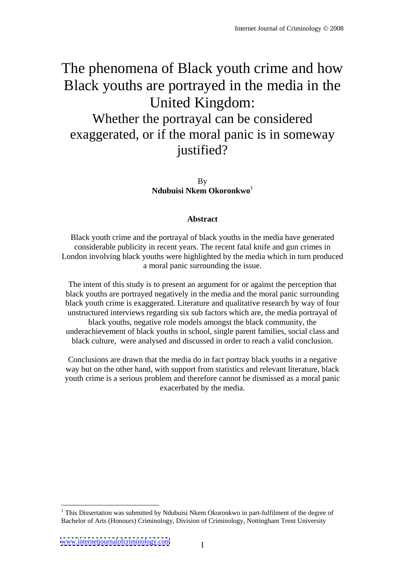# The phenomena of Black youth crime and how Black youths are portrayed in the media in the United Kingdom:

Whether the portrayal can be considered exaggerated, or if the moral panic is in someway justified?

> By the contract of the contract of the contract of the contract of the contract of the contract of the contract of the contract of the contract of the contract of the contract of the contract of the contract of the contrac **Ndubuisi Nkem Okoronkwo** 1

# **Abstract**

Black youth crime and the portrayal of black youths in the media have generated considerable publicity in recent years. The recent fatal knife and gun crimes in London involving black youths were highlighted by the media which in turn produced a moral panic surrounding the issue.

The intent of this study is to present an argument for or against the perception that black youths are portrayed negatively in the media and the moral panic surrounding black youth crime is exaggerated. Literature and qualitative research by way of four unstructured interviews regarding six sub factors which are, the media portrayal of black youths, negative role models amongst the black community, the underachievement of black youths in school, single parent families, social class and black culture, were analysed and discussed in order to reach a valid conclusion.

Conclusions are drawn that the media do in fact portray black youths in a negative way but on the other hand, with support from statistics and relevant literature, black youth crime is a serious problem and therefore cannot be dismissed as a moral panic exacerbated by the media.

<sup>&</sup>lt;sup>1</sup> This Dissertation was submitted by Ndubuisi Nkem Okoronkwo in part-fulfilment of the degree of Bachelor of Arts (Honours) Criminology, Division of Criminology, Nottingham Trent University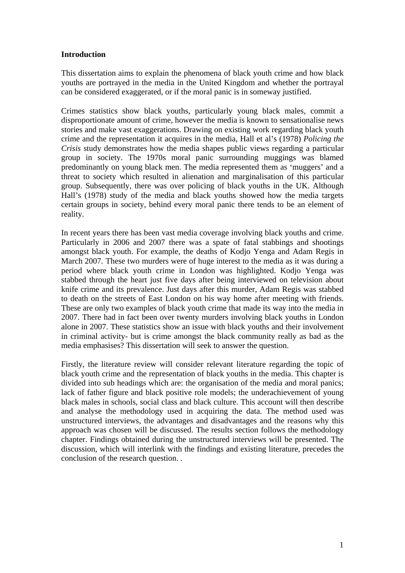#### **Introduction**

This dissertation aims to explain the phenomena of black youth crime and how black youths are portrayed in the media in the United Kingdom and whether the portrayal can be considered exaggerated, or if the moral panic is in someway justified.

Crimes statistics show black youths, particularly young black males, commit a disproportionate amount of crime, however the media is known to sensationalise news stories and make vast exaggerations. Drawing on existing work regarding black youth crime and the representation it acquires in the media, Hall et al's (1978) *Policing the Crisis* study demonstrates how the media shapes public views regarding a particular group in society. The 1970s moral panic surrounding muggings was blamed predominantly on young black men. The media represented them as 'muggers' and a threat to society which resulted in alienation and marginalisation of this particular group. Subsequently, there was over policing of black youths in the UK. Although Hall's (1978) study of the media and black youths showed how the media targets certain groups in society, behind every moral panic there tends to be an element of reality.

In recent years there has been vast media coverage involving black youths and crime. Particularly in 2006 and 2007 there was a spate of fatal stabbings and shootings amongst black youth. For example, the deaths of Kodjo Yenga and Adam Regis in March 2007. These two murders were of huge interest to the media as it was during a period where black youth crime in London was highlighted. Kodjo Yenga was stabbed through the heart just five days after being interviewed on television about knife crime and its prevalence. Just days after this murder, Adam Regis was stabbed to death on the streets of East London on his way home after meeting with friends. These are only two examples of black youth crime that made its way into the media in 2007. There had in fact been over twenty murders involving black youths in London alone in 2007. These statistics show an issue with black youths and their involvement in criminal activity- but is crime amongst the black community really as bad as the media emphasises? This dissertation will seek to answer the question.

Firstly, the literature review will consider relevant literature regarding the topic of black youth crime and the representation of black youths in the media. This chapter is divided into sub headings which are: the organisation of the media and moral panics; lack of father figure and black positive role models; the underachievement of young black males in schools, social class and black culture. This account will then describe and analyse the methodology used in acquiring the data. The method used was unstructured interviews, the advantages and disadvantages and the reasons why this approach was chosen will be discussed. The results section follows the methodology chapter. Findings obtained during the unstructured interviews will be presented. The discussion, which will interlink with the findings and existing literature, precedes the conclusion of the research question. .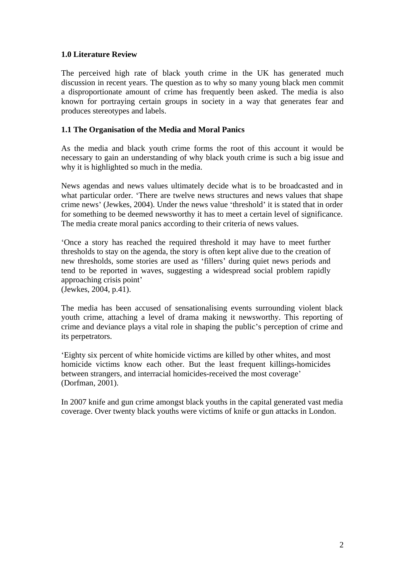# **1.0 Literature Review**

The perceived high rate of black youth crime in the UK has generated much discussion in recent years. The question as to why so many young black men commit a disproportionate amount of crime has frequently been asked. The media is also known for portraying certain groups in society in a way that generates fear and produces stereotypes and labels.

## **1.1 The Organisation of the Media and MoralPanics**

As the media and black youth crime forms the root of this account it would be necessary to gain an understanding of why black youth crime is such a big issue and why it is highlighted so much in the media.

News agendas and news values ultimately decide what is to be broadcasted and in what particular order. 'There are twelve news structures and news values that shape crime news' (Jewkes, 2004). Under the news value 'threshold' it is stated that in order for something to be deemed newsworthy it has to meet a certain level of significance. The media create moral panics according to their criteria of news values.

Once a story has reached the required threshold it may have to meet further thresholds to stay on the agenda, the story is often kept alive due to the creation of new thresholds, some stories are used as 'fillers' during quiet news periods and tend to be reported in waves, suggesting a widespread social problem rapidly approaching crisis point (Jewkes, 2004, p.41).

The media has been accused of sensationalising events surrounding violent black youth crime, attaching a level of drama making it newsworthy. This reporting of crime and deviance plays a vital role in shaping the public's perception of crime and its perpetrators.

Eighty six percent of white homicide victims are killed by other whites, and most homicide victims know each other. But the least frequent killings-homicides between strangers, and interracial homicides-received the most coverage (Dorfman, 2001).

In 2007 knife and gun crime amongst black youths in the capital generated vast media coverage. Over twenty black youths were victims of knife or gun attacks in London.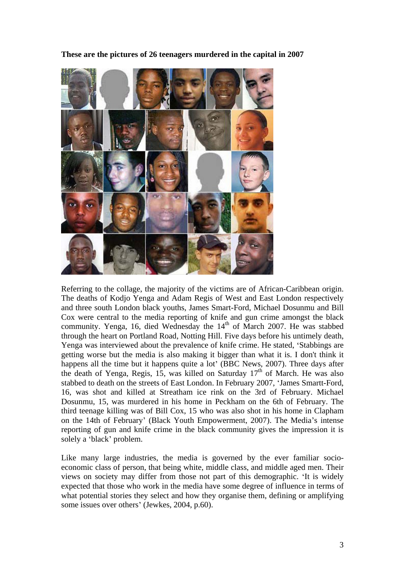**These are the pictures of 26 teenagers murdered in the capital in 2007**



Referring to the collage, the majority of the victims are of African-Caribbean origin. The deaths of Kodjo Yenga and Adam Regis of West and East London respectively and three south London black youths, James Smart-Ford, Michael Dosunmu and Bill Cox were central to the media reporting of knife and gun crime amongst the black community. Yenga, 16, died Wednesday the 14<sup>th</sup> of March 2007. He was stabbed through the heart on Portland Road, Notting Hill. Five days before his untimely death, Yenga was interviewed about the prevalence of knife crime. He stated, 'Stabbings are getting worse but the media is also making it bigger than what it is. I don't think it happens all the time but it happens quite a lot' (BBC News, 2007). Three days after the death of Yenga, Regis, 15, was killed on Saturday 17<sup>th</sup> of March. He was also stabbed to death on the streets of East London. In February 2007, 'James Smartt-Ford, 16, was shot and killed at Streatham ice rink on the 3rd of February. Michael Dosunmu, 15, was murdered in his home in Peckham on the 6th of February. The third teenage killing was of Bill Cox, 15 who was also shot in his home in Clapham on the 14th of February' (Black Youth Empowerment, 2007). The Media's intense reporting of gun and knife crime in the black community gives the impression it is solely a 'black' problem.

Like many large industries, the media is governed by the ever familiar socio economic class of person, that being white, middle class, and middle aged men. Their views on society may differ from those not part of this demographic. It is widely expected that those who work in the media have some degree of influence in terms of what potential stories they select and how they organise them, defining or amplifying some issues over others' (Jewkes, 2004, p.60).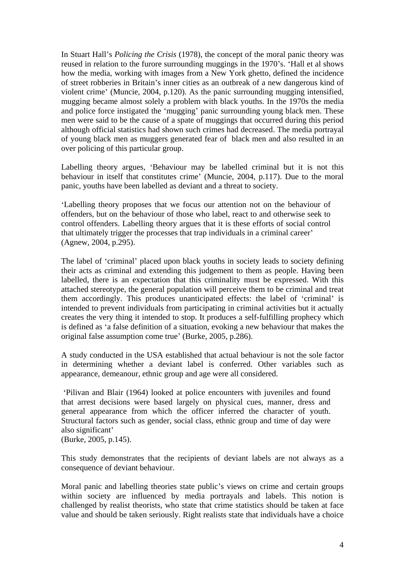In Stuart Hall's *Policing the Crisis* (1978), the concept of the moral panic theory was reused in relation to the furore surrounding muggings in the 1970's. 'Hall et al shows how the media, working with images from a New York ghetto, defined the incidence of street robberies in Britain's inner cities as an outbreak of a new dangerous kind of violent crime' (Muncie, 2004, p.120). As the panic surrounding mugging intensified, mugging became almost solely a problem with black youths. In the 1970s the media and police force instigated the 'mugging' panic surrounding young black men. These men were said to be the cause of a spate of muggings that occurred during this period although official statistics had shown such crimes had decreased. The media portrayal of young black men as muggers generated fear of black men and also resulted in an over policing of this particular group.

Labelling theory argues, 'Behaviour may be labelled criminal but it is not this behaviour in itself that constitutes crime' (Muncie, 2004, p.117). Due to the moral panic, youths have been labelled as deviant and a threat to society.

Labelling theory proposes that we focus our attention not on the behaviour of offenders, but on the behaviour of those who label, react to and otherwise seek to control offenders. Labelling theory argues that it is these efforts of social control that ultimately trigger the processes that trap individuals in a criminal career (Agnew, 2004, p.295).

The label of 'criminal' placed upon black youths in society leads to society defining their acts as criminal and extending this judgement to them as people. Having been labelled, there is an expectation that this criminality must be expressed. With this attached stereotype, the general population will perceive them to be criminal and treat them accordingly. This produces unanticipated effects: the label of 'criminal' is intended to prevent individuals from participating in criminal activities but it actually creates the very thing it intended to stop. It produces a self-fulfilling prophecy which is defined as 'a false definition of a situation, evoking a new behaviour that makes the original false assumption come true' (Burke, 2005, p.286).

A study conducted in the USA established that actual behaviour is not the sole factor in determining whether a deviant label is conferred. Other variables such as appearance, demeanour, ethnic group and age were all considered.

Pilivan and Blair (1964) looked at police encounters with juveniles and found that arrest decisions were based largely on physical cues, manner, dress and general appearance from which the officer inferred the character of youth. Structural factors such as gender, social class, ethnic group and time of day were also significant

(Burke, 2005, p.145).

This study demonstrates that the recipients of deviant labels are not always as a consequence of deviant behaviour.

Moral panic and labelling theories state public's views on crime and certain groups within society are influenced by media portravals and labels. This notion is challenged by realist theorists, who state that crime statistics should be taken at face value and should be taken seriously. Right realists state that individuals have a choice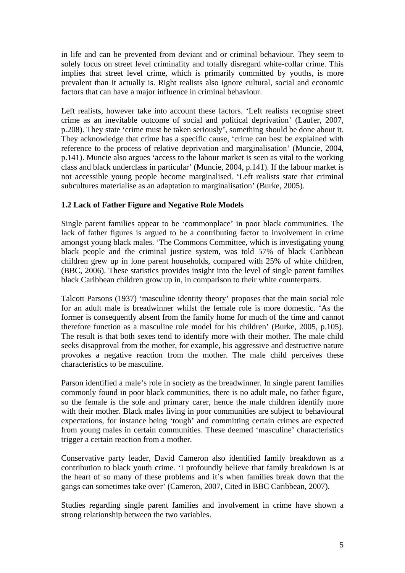in life and can be prevented from deviant and or criminal behaviour. They seem to solely focus on street level criminality and totally disregard white-collar crime. This implies that street level crime, which is primarily committed by youths, is more prevalent than it actually is. Right realists also ignore cultural, social and economic factors that can have a major influence in criminal behaviour.

Left realists, however take into account these factors. 'Left realists recognise street crime as an inevitable outcome of social and political deprivation' (Laufer, 2007, p.208). They state 'crime must be taken seriously', something should be done about it. They acknowledge that crime has a specific cause, 'crime can best be explained with reference to the process of relative deprivation and marginalisation' (Muncie, 2004, p.141). Muncie also argues 'access to the labour market is seen as vital to the working class and black underclass in particular' (Muncie, 2004, p.141). If the labour market is not accessible young people become marginalised. Left realists state that criminal subcultures materialise as an adaptation to marginalisation' (Burke, 2005).

#### **1.2 Lack of Father Figure and Negative Role Models**

Single parent families appear to be 'commonplace' in poor black communities. The lack of father figures is argued to be a contributing factor to involvement in crime amongst young black males. The Commons Committee, which is investigating young black people and the criminal justice system, was told 57% of black Caribbean children grew up in lone parent households, compared with 25% of white children, (BBC, 2006). These statistics provides insight into the level of single parent families black Caribbean children grow up in, in comparison to their white counterparts.

Talcott Parsons (1937) 'masculine identity theory' proposes that the main social role for an adult male is breadwinner whilst the female role is more domestic. 'As the former is consequently absent from the family home for much of the time and cannot therefore function as a masculine role model for his children' (Burke, 2005, p.105). The result is that both sexes tend to identify more with their mother. The male child seeks disapproval from the mother, for example, his aggressive and destructive nature provokes a negative reaction from the mother. The male child perceives these characteristics to be masculine.

Parson identified a male's role in society as the breadwinner. In single parent families commonly found in poor black communities, there is no adult male, no father figure, so the female is the sole and primary carer, hence the male children identify more with their mother. Black males living in poor communities are subject to behavioural expectations, for instance being 'tough' and committing certain crimes are expected from young males in certain communities. These deemed 'masculine' characteristics trigger a certain reaction from a mother.

Conservative party leader, David Cameron also identified family breakdown as a contribution to black youth crime. 'I profoundly believe that family breakdown is at the heart of so many of these problems and it's when families break down that the gangs can sometimes take over' (Cameron, 2007, Cited in BBC Caribbean, 2007).

Studies regarding single parent families and involvement in crime have shown a strong relationship between the two variables.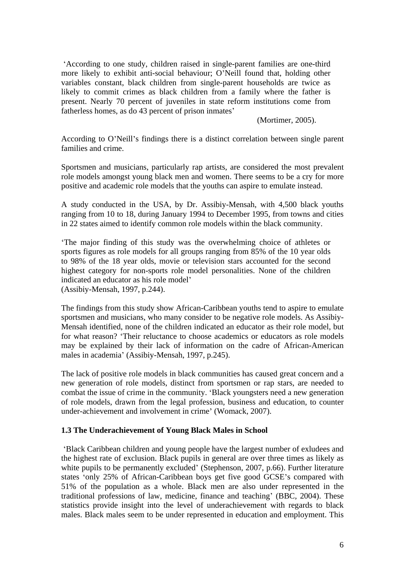According to one study, children raised in single-parent families are one-third more likely to exhibit anti-social behaviour; O'Neill found that, holding other variables constant, black children from single-parent households are twice as likely to commit crimes as black children from a family where the father is present. Nearly 70 percent of juveniles in state reform institutions come from fatherless homes, as do 43 percent of prison inmates

(Mortimer, 2005).

According to O'Neill's findings there is a distinct correlation between single parent families and crime.

Sportsmen and musicians, particularly rap artists, are considered the most prevalent role models amongst young black men and women. There seems to be a cry for more positive and academic role models that the youthscan aspire to emulate instead.

A study conducted in the USA, by Dr. Assibiy-Mensah, with 4,500 black youths ranging from 10 to 18, during January 1994 to December 1995, from towns and cities in 22 states aimed to identify common role models within the black community.

The major finding of this study was the overwhelming choice of athletes or sports figures as role models for all groups ranging from 85% of the 10 year olds to 98% of the 18 year olds, movie or television stars accounted for the second highest category for non-sports role model personalities. None of the children indicated an educator as his role model (Assibiy-Mensah, 1997, p.244).

The findings from this study show African-Caribbean youths tend to aspire to emulate sportsmen and musicians, who many consider to be negative role models. As Assibiy-Mensah identified, none of the children indicated an educator as their role model, but for what reason? Their reluctance to choose academics or educators as role models may be explained by their lack of information on the cadre of African-American males in academia' (Assibiy-Mensah, 1997, p.245).

The lack of positive role models in black communities has caused great concern and a new generation of role models, distinct from sportsmen or rap stars, are needed to combat the issue of crime in the community. 'Black youngsters need a new generation of role models, drawn from the legal profession, business and education, to counter under-achievement and involvement in crime' (Womack, 2007).

#### **1.3 The Underachievement of Young Black Males in School**

Black Caribbean children and young people have the largest number of exludees and the highest rate of exclusion. Black pupils in general are over three times as likely as white pupils to be permanently excluded' (Stephenson, 2007, p.66). Further literature states 'only 25% of African-Caribbean boys get five good GCSE's compared with 51% of the population as a whole. Black men are also under represented in the traditional professions of law, medicine, finance and teaching' (BBC, 2004). These statistics provide insight into the level of underachievement with regards to black males. Black males seem to be under represented in education and employment. This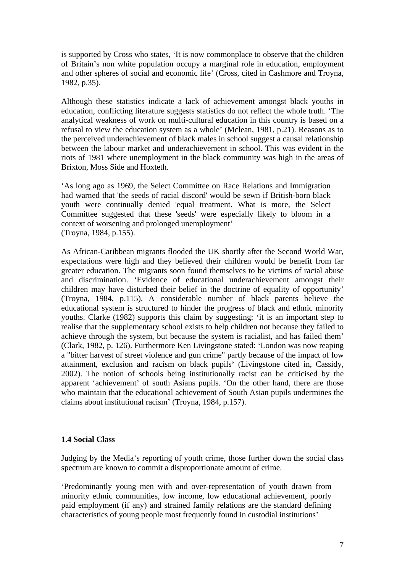is supported by Cross who states, 'It is now commonplace to observe that the children of Britain's non white population occupy a marginal role in education, employment and other spheres of social and economic life' (Cross, cited in Cashmore and Troyna, 1982, p.35).

Although these statistics indicate a lack of achievement amongst black youths in education, conflicting literature suggests statistics do not reflect the whole truth. The analytical weakness of work on multi-cultural education in this country is based on a refusal to view the education system as a whole' (Mclean, 1981, p.21). Reasons as to the perceived underachievement of black males in school suggest a causal relationship between the labour market and underachievement in school. This was evident in the riots of 1981 where unemployment in the black community washigh in the areas of Brixton, Moss Side and Hoxteth.

As long ago as 1969, the Select Committee on Race Relations and Immigration had warned that 'the seeds of racial discord' would be sewn if British-born black youth were continually denied 'equal treatment. What is more, the Select Committee suggested that these 'seeds' were especially likely to bloom in a context of worsening and prolonged unemployment (Troyna, 1984, p.155).

As African-Caribbean migrants flooded the UK shortly after the Second World War, expectations were high and they believed their children would be benefit from far greater education. The migrants soon found themselves to be victims of racial abuse and discrimination. Evidence of educational underachievement amongst their children may have disturbed their belief in the doctrine of equality of opportunity (Troyna, 1984, p.115). A considerable number of black parents believe the educational system is structured to hinder the progress of black and ethnic minority youths. Clarke (1982) supports this claim by suggesting: 'it is an important step to realise that the supplementary school exists to help children not because they failed to achieve through the system, but because the system is racialist, and has failed them (Clark, 1982, p. 126). Furthermore Ken Livingstone stated: London was now reaping a "bitter harvest of street violence and gun crime" partly because of the impact of low attainment, exclusion and racism on black pupils' (Livingstone cited in, Cassidy, 2002). The notion of schools being institutionally racist can be criticised by the apparent 'achievement' of south Asians pupils. 'On the other hand, there are those who maintain that the educational achievement of South Asian pupils undermines the claims about institutional racism (Troyna, 1984, p.157).

#### **1.4 Social Class**

Judging by the Media's reporting of youth crime, those further down the social class spectrum are known to commit a disproportionate amount of crime.

Predominantly young men with and over-representation of youth drawn from minority ethnic communities, low income, low educational achievement, poorly paid employment (if any) and strained family relations are the standard defining characteristics of young people most frequently found in custodial institutions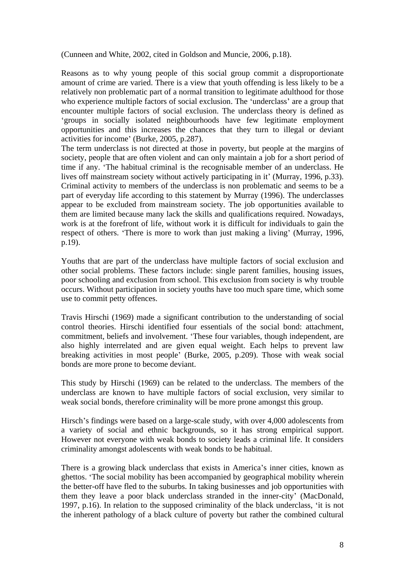(Cunneen and White, 2002, cited in Goldson and Muncie, 2006, p.18).

Reasons as to why young people of this social group commit a disproportionate amount of crime are varied. There is a view that youth offending is less likely to be a relatively non problematic part of a normal transition to legitimate adulthood for those who experience multiple factors of social exclusion. The 'underclass' are a group that encounter multiple factors of social exclusion. The underclass theory is defined as groups in socially isolated neighbourhoods have few legitimate employment opportunities and this increases the chances that they turn to illegal or deviant activities for income' (Burke, 2005, p.287).

The term underclass is not directed at those in poverty, but people at the margins of society, people that are often violent and can only maintain a job for a short period of time if any. 'The habitual criminal is the recognisable member of an underclass. He lives off mainstream society without actively participating in it' (Murray, 1996, p.33). Criminal activity to members of the underclass is non problematic and seems to be a part of everyday life according to this statement by Murray (1996). The underclasses appear to be excluded from mainstream society. The job opportunities available to them are limited because many lack the skills and qualifications required. Nowadays, work is at the forefront of life, without work it is difficult for individuals to gain the respect of others. 'There is more to work than just making a living' (Murray, 1996, p.19).

Youths that are part of the underclass have multiple factors of social exclusion and other social problems. These factors include: single parent families, housing issues, poor schooling and exclusion from school. This exclusion from society is why trouble occurs. Without participation in society youths have too much spare time, which some use to commit petty offences.

Travis Hirschi (1969) made a significant contribution to the understanding of social control theories. Hirschi identified four essentials of the social bond: attachment, commitment, beliefs and involvement. These four variables, though independent, are also highly interrelated and are given equal weight. Each helps to prevent law breaking activities in most people' (Burke, 2005, p.209). Those with weak social bonds are more prone to become deviant.

This study by Hirschi (1969) can be related to the underclass. The members of the underclass are known to have multiple factors of social exclusion, very similar to weak social bonds, therefore criminality will be more prone amongst this group.

Hirsch's findings were based on a large-scale study, with over 4,000 adolescents from a variety of social and ethnic backgrounds, so it has strong empirical support. However not everyone with weak bonds to society leads a criminal life. It considers criminality amongst adolescents with weak bonds to be habitual.

There is a growing black underclass that exists in America's inner cities, known as ghettos. The social mobility has been accompanied by geographical mobility wherein the better-off have fled to the suburbs. In taking businesses and job opportunities with them they leave a poor black underclass stranded in the inner-city' (MacDonald, 1997, p.16). In relation to the supposed criminality of the black underclass, 'it is not the inherent pathology of a black culture of poverty but rather the combined cultural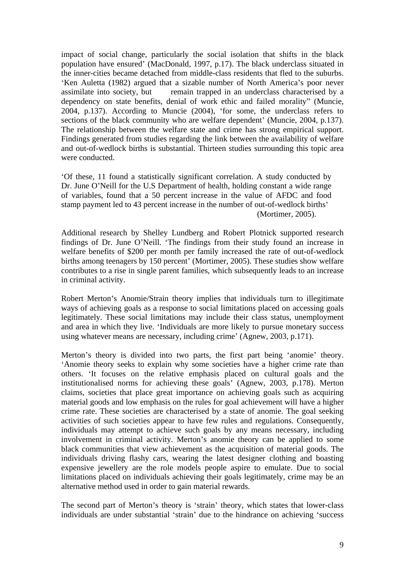impact of social change, particularly the social isolation that shifts in the black population have ensured' (MacDonald, 1997, p.17). The black underclass situated in the inner-cities became detached from middle-class residents that fled to the suburbs. Ken Auletta (1982) argued that a sizable number of North America's poor never assimilate into society, but remain trapped in an underclass characterised by a dependency on state benefits, denial of work ethic and failed morality" (Muncie, 2004, p.137). According to Muncie (2004), for some, the underclass refers to sections of the black community who are welfare dependent' (Muncie, 2004, p.137). The relationship between the welfare state and crime has strong empirical support. Findings generated from studies regarding the link between the availability of welfare and out-of-wedlock births is substantial. Thirteen studies surrounding this topic area were conducted.

Of these, 11 found a statistically significant correlation. A study conducted by Dr. June O'Neill for the U.S Department of health, holding constant a wide range of variables, found that a 50 percent increase in the value of AFDC and food stamp payment led to 43 percent increase in the number of out-of-wedlock births (Mortimer, 2005).

Additional research by Shelley Lundberg and Robert Plotnick supported research findings of Dr. June O'Neill. 'The findings from their study found an increase in welfare benefits of \$200 per month per family increased the rate of out-of-wedlock births among teenagers by 150 percent' (Mortimer, 2005). These studies show welfare contributes to a rise in single parent families, which subsequently leads to an increase in criminal activity.

Robert Merton's Anomie/Strain theory implies that individuals turn to illegitimate ways of achieving goals as a response to social limitations placed on accessing goals legitimately. These social limitations may include their class status, unemployment and area in which they live. 'Individuals are more likely to pursue monetary success using whatever means are necessary, including crime' (Agnew, 2003, p.171).

Merton's theory is divided into two parts, the first part being 'anomie' theory. Anomie theory seeks to explain why some societies have a higher crime rate than others. It focuses on the relative emphasis placed on cultural goals and the institutionalised norms for achieving these goals' (Agnew, 2003, p.178). Merton claims, societies that place great importance on achieving goals such as acquiring material goods and low emphasis on the rules for goal achievement will have a higher crime rate. These societies are characterised by a state of anomie. The goal seeking activities of such societies appear to have few rules and regulations. Consequently, individuals may attempt to achieve such goals by any means necessary, including involvement in criminal activity. Merton's anomie theory can be applied to some black communities that view achievement as the acquisition of material goods. The individuals driving flashy cars, wearing the latest designer clothing and boasting expensive jewellery are the role models people aspire to emulate. Due to social limitations placed on individuals achieving their goals legitimately, crime may be an alternative method used in order to gain material rewards.

The second part of Merton's theory is 'strain' theory, which states that lower-class individuals are under substantial 'strain' due to the hindrance on achieving 'success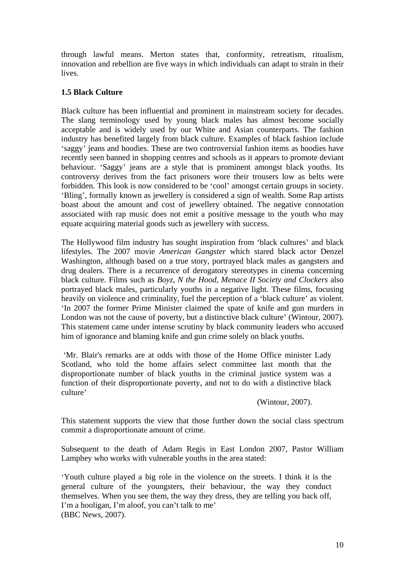through lawful means. Merton states that, conformity, retreatism, ritualism, innovation and rebellion are five ways in which individuals can adapt to strain in their lives.

#### **1.5 Black Culture**

Black culture has been influential and prominent in mainstream society for decades. The slang terminology used by young black males has almost become socially acceptable and is widely used by our White and Asian counterparts. The fashion industry has benefited largely from black culture. Examples of black fashion include saggy jeans and hoodies. These are two controversial fashion items as hoodies have recently seen banned in shopping centres and schools as it appears to promote deviant behaviour. 'Saggy' jeans are a style that is prominent amongst black youths. Its controversy derives from the fact prisoners wore their trousers low as belts were forbidden. This look is now considered to be 'cool' amongst certain groups in society. 'Bling', formally known as jewellery is considered a sign of wealth. Some Rap artists boast about the amount and cost of jewellery obtained. The negative connotation associated with rap music does not emit a positive message to the youth who may equate acquiring material goods such as jewellery with success.

The Hollywood film industry has sought inspiration from 'black cultures' and black lifestyles. The 2007 movie *American Gangster* which stared black actor Denzel Washington, although based on a true story, portrayed black males as gangsters and drug dealers. There is a recurrence of derogatory stereotypes in cinema concerning black culture. Films such as *Boyz, N the Hood*, *Menace II Society and Clockers* also portrayed black males, particularly youths in a negative light. These films, focusing heavily on violence and criminality, fuel the perception of a 'black culture' as violent. In 2007 the former Prime Minister claimed the spate of knife and gun murders in London was not the cause of poverty, but a distinctive black culture' (Wintour, 2007). This statement came under intense scrutiny by black community leaders who accused him of ignorance and blaming knife and gun crime solely on black youths.

Mr. Blair's remarks are at odds with those of the Home Office minister Lady Scotland, who told the home affairs select committee last month that the disproportionate number of black youths in the criminal justice system was a function of their disproportionate poverty, and not to do with a distinctive black culture' and the contract of the contract of the contract of the contract of the contract of the contract of the contract of the contract of the contract of the contract of the contract of the contract of the contract of t

(Wintour, 2007).

This statement supports the view that those further down the social class spectrum commit a disproportionate amount of crime.

Subsequent to the death of Adam Regis in East London 2007, Pastor William Lamphey who works with vulnerable youths in the area stated:

Youth culture played a big role in the violence on the streets. I think it is the general culture of the youngsters, their behaviour, the way they conduct themselves. When you see them, the way they dress, they are telling you back off, I'm a hooligan, I'm aloof, you can't talk to me' (BBC News, 2007).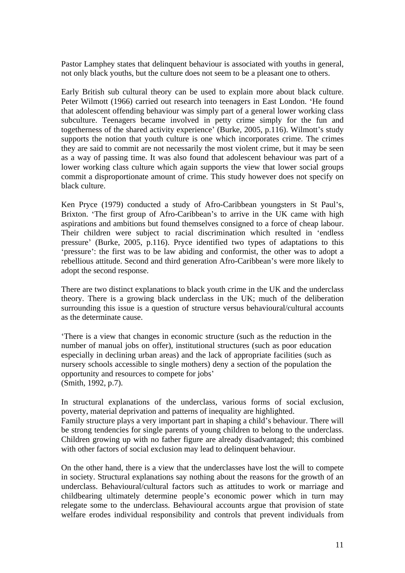Pastor Lamphey states that delinquent behaviour is associated with youths in general, not only black youths, but the culture does not seem to be a pleasant one to others.

Early British sub cultural theory can be used to explain more about black culture. Peter Wilmott (1966) carried out research into teenagers in East London. 'He found that adolescent offending behaviour was simply part of a general lower working class subculture. Teenagers became involved in petty crime simply for the fun and togetherness of the shared activity experience' (Burke, 2005, p.116). Wilmott's study supports the notion that youth culture is one which incorporates crime. The crimes they are said to commit are not necessarily the most violent crime, but it may be seen as a way of passing time. It was also found that adolescent behaviour was part of a lower working class culture which again supports the view that lower social groups commit a disproportionate amount of crime. This study however does not specify on black culture.

Ken Pryce (1979) conducted a study of Afro-Caribbean youngsters in St Paul's, Brixton. The first group of Afro-Caribbean's to arrive in the UK came with high aspirations and ambitions but found themselves consigned to a force of cheap labour. Their children were subject to racial discrimination which resulted in 'endless pressure' (Burke, 2005, p.116). Pryce identified two types of adaptations to this pressure : the first was to be law abiding and conformist, the other was to adopt a rebellious attitude. Second and third generation Afro-Caribbean's were more likely to adopt the second response.

There are two distinct explanations to black youth crime in the UK and the underclass theory. There is a growing black underclass in the UK; much of the deliberation surrounding this issue is a question of structure versus behavioural/cultural accounts as the determinate cause.

There is a view that changes in economic structure (such as the reduction in the number of manual jobs on offer), institutional structures (such as poor education especially in declining urban areas) and the lack of appropriate facilities (such as nursery schools accessible to single mothers) deny asection of the population the opportunity and resources to compete for jobs (Smith, 1992, p.7).

In structural explanations of the underclass, various forms of social exclusion, poverty, material deprivation and patterns of inequality are highlighted. Family structure plays a very important part in shaping a child's behaviour. There will be strong tendencies for single parents of young children to belong to the underclass. Children growing up with no father figure are already disadvantaged; this combined with other factors of social exclusion may lead to delinquent behaviour.

On the other hand, there is a view that the underclasses have lost the will to compete in society. Structural explanations say nothing about the reasons for the growth of an underclass. Behavioural/cultural factors such as attitudes to work or marriage and childbearing ultimately determine people's economic power which in turn may relegate some to the underclass. Behavioural accounts argue that provision of state welfare erodes individual responsibility and controls that prevent individuals from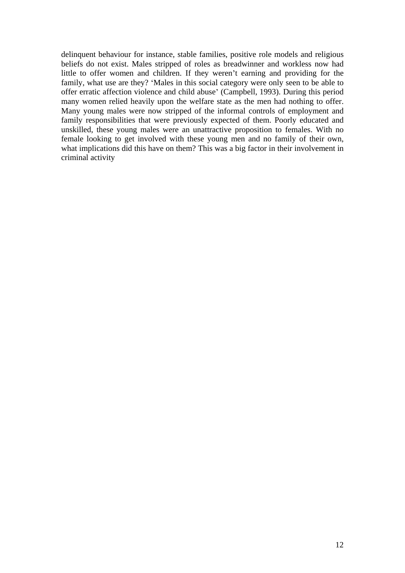delinquent behaviour for instance, stable families, positive role models and religious beliefs do not exist. Males stripped of roles as breadwinner and workless now had little to offer women and children. If they weren't earning and providing for the family, what use are they? 'Males in this social category were only seen to be able to offer erratic affection violence and child abuse' (Campbell, 1993). During this period many women relied heavily upon the welfare state as the men had nothing to offer. Many young males were now stripped of the informal controls of employment and family responsibilities that were previously expected of them. Poorly educated and unskilled, these young males were an unattractive proposition to females. With no female looking to get involved with these young men and no family of their own, what implications did this have on them? This was a big factor in their involvement in criminal activity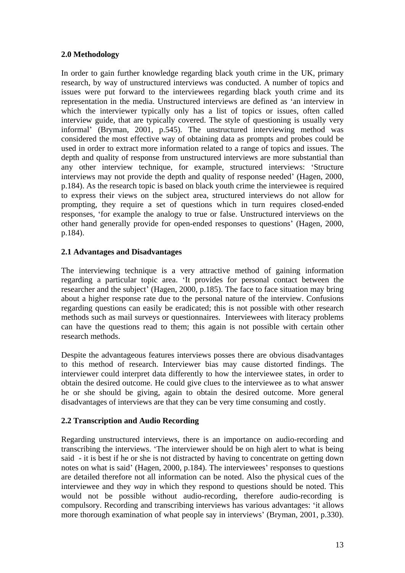# **2.0 Methodology**

In order to gain further knowledge regarding black youth crime in the UK, primary research, by way of unstructured interviews was conducted. A number of topics and issues were put forward to the interviewees regarding black youth crime and its representation in the media. Unstructured interviews are defined as 'an interview in which the interviewer typically only has a list of topics or issues, often called interview guide, that are typically covered. The style of questioning is usually very informal' (Bryman, 2001, p.545). The unstructured interviewing method was considered the most effective way of obtaining data as prompts and probes could be used in order to extract more information related to a range of topics and issues. The depth and quality of response from unstructured interviews are more substantial than any other interview technique, for example, structured interviews: 'Structure interviews may not provide the depth and quality of response needed' (Hagen, 2000, p.184). As the research topic is based on black youth crime the interviewee is required to express their views on the subject area, structured interviews do not allow for prompting, they require a set of questions which in turn requires closed-ended responses, for example the analogy to true or false. Unstructured interviews on the other hand generally provide for open-ended responses to questions' (Hagen, 2000, p.184).

## **2.1 Advantages and Disadvantages**

The interviewing technique is a very attractive method of gaining information regarding a particular topic area. It provides for personal contact between the researcher and the subject' (Hagen, 2000, p.185). The face to face situation may bring about a higher response rate due to the personal nature of the interview. Confusions regarding questions can easily be eradicated; this is not possible with other research methods such as mail surveys or questionnaires. Interviewees with literacy problems can have the questions read to them; this again is not possible with certain other research methods.

Despite the advantageous features interviews posses there are obvious disadvantages to this method of research. Interviewer bias may cause distorted findings. The interviewer could interpret data differently to how the interviewee states, in order to obtain the desired outcome. He could give clues to the interviewee as to what answer he or she should be giving, again to obtain the desired outcome. More general disadvantages of interviews are that they can be very time consuming and costly.

# **2.2 Transcription and Audio Recording**

Regarding unstructured interviews, there is an importance on audio-recording and transcribing the interviews. The interviewer should be on high alert to what is being said - it is best if he or she is not distracted by having to concentrate on getting down notes on what is said' (Hagen, 2000, p.184). The interviewees' responses to questions are detailed therefore not all information can be noted. Also the physical cues of the interviewee and they *way* in which they respond to questions should be noted. This would not be possible without audio-recording, therefore audio-recording is compulsory. Recording and transcribing interviews has various advantages: 'it allows more thorough examination of what people say in interviews' (Bryman, 2001, p.330).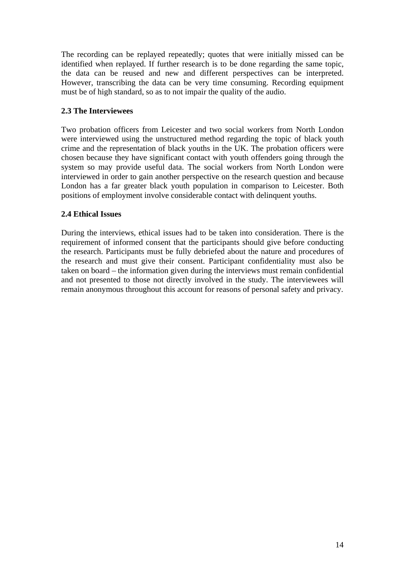The recording can be replayed repeatedly; quotes that were initially missed can be identified when replayed. If further research is to be done regarding the same topic, the data can be reused and new and different perspectives can be interpreted. However, transcribing the data can be very time consuming. Recording equipment must be of high standard, so as to not impair the quality of the audio.

# **2.3 The Interviewees**

Two probation officers from Leicester and two social workers from North London were interviewed using the unstructured method regarding the topic of black youth crime and the representation of black youths in the UK. The probation officers were chosen because they have significant contact with youth offenders going through the system so may provide useful data. The social workers from North London were interviewed in order to gain another perspective on the research question and because London has a far greater black youth population in comparison to Leicester. Both positions of employment involve considerable contact with delinquent youths.

# **2.4 Ethical Issues**

During the interviews, ethical issues had to be taken into consideration. There is the requirement of informed consent that the participants should give before conducting the research. Participants must be fully debriefed about the nature and procedures of the research and must give their consent. Participant confidentiality must also be  $t$ aken on board – the information given during the interviews must remain confidential and not presented to those not directly involved in the study. The interviewees will remain anonymous throughout this account for reasons of personal safety and privacy.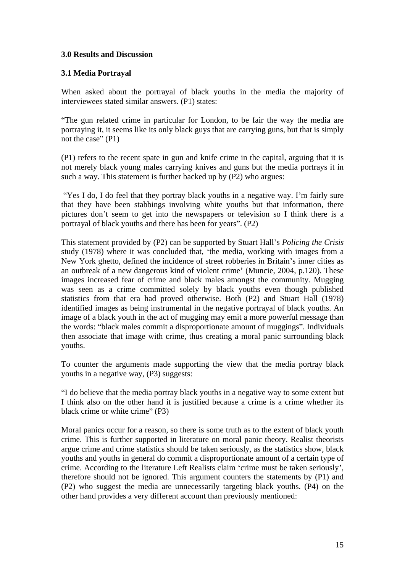### **3.0 Results and Discussion**

#### **3.1 Media Portrayal**

When asked about the portrayal of black youths in the media the majority of interviewees stated similar answers. (P1) states:

The gun related crime in particular for London, to be fair the way the media are portraying it, it seems like its only black guys that are carrying guns, but that is simply not the case"  $(P1)$ 

(P1) refers to the recent spate in gun and knife crime in the capital, arguing that it is not merely black young males carrying knives and guns but the media portrays it in such a way. This statement is further backed up by (P2) who argues:

"Yes I do, I do feel that they portray black youths in a negative way. I'm fairly sure that they have been stabbings involving white youths but that information, there pictures don't seem to get into the newspapers or television so I think there is a portrayal of black youths and there has been for years".  $(P2)$ 

This statement provided by (P2) can be supported by Stuart Hall's *Policing the Crisis* study (1978) where it was concluded that, 'the media, working with images from a New York ghetto, defined the incidence of street robberies in Britain's inner cities as an outbreak of a new dangerous kind of violent crime' (Muncie, 2004, p.120). These images increased fear of crime and black males amongst the community. Mugging was seen as a crime committed solely by black youths even though published statistics from that era had proved otherwise. Both (P2) and Stuart Hall (1978) identified images as being instrumental in the negative portrayal of black youths. An image of a black youth in the act of mugging may emit a more powerful message than the words: "black males commit a disproportionate amount of muggings". Individuals then associate that image with crime, thus creating a moral panic surrounding black youths.

To counter the arguments made supporting the view that the media portray black youths in a negative way,  $(P3)$  suggests:

I do believe that the media portray black youths in a negative way to some extent but I think also on the other hand it is justified because a crime is a crime whether its black crime or white crime" (P3)

Moral panics occur for a reason, so there is some truth as to the extent of black youth crime. This is further supported in literature on moral panic theory. Realist theorists argue crime and crime statistics should be taken seriously, as the statistics show, black youths and youths in general do commit a disproportionate amount of a certain type of crime. According to the literature Left Realists claim 'crime must be taken seriously', therefore should not be ignored. This argument counters the statements by (P1) and (P2) who suggest the media are unnecessarily targeting black youths. (P4) on the other hand provides a very different account than previously mentioned: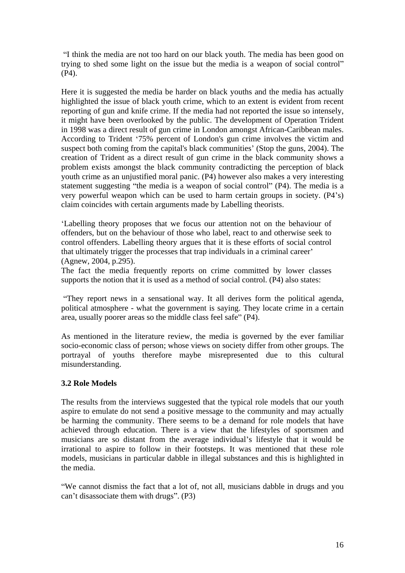I think the media are not too hard on our black youth. The media has been good on trying to shed some light on the issue but the media is a weapon of social control (P4).

Here it is suggested the media be harder on black youths and the media has actually highlighted the issue of black youth crime, which to an extent is evident from recent reporting of gun and knife crime. If the media had not reported the issue so intensely, it might have been overlooked by the public. The development of Operation Trident in 1998 was a direct result of gun crime in London amongst African-Caribbean males. According to Trident 75% percent of London's gun crime involves the victim and suspect both coming from the capital's black communities' (Stop the guns, 2004). The creation of Trident as a direct result of gun crime in the black community shows a problem exists amongst the black community contradicting the perception of black youth crime as an unjustified moral panic. (P4) however also makes a very interesting statement suggesting "the media is a weapon of social control"  $(P4)$ . The media is a very powerful weapon which can be used to harm certain groups in society. (P4's) claim coincides with certain arguments made by Labelling theorists.

Labelling theory proposes that we focus our attention not on the behaviour of offenders, but on the behaviour of those who label, react to and otherwise seek to control offenders. Labelling theory argues that it is these efforts of social control that ultimately trigger the processes that trap individuals in a criminal career (Agnew, 2004, p.295).

The fact the media frequently reports on crime committed by lower classes supports the notion that it is used as a method of social control. (P4) also states:

They report news in a sensational way. It all derives form the political agenda, political atmosphere - what the government is saying. They locate crime in a certain area, usually poorer areas so the middle class feel safe" (P4).

As mentioned in the literature review, the media is governed by the ever familiar socio-economic class of person; whose views on society differ from other groups. The portrayal of youths therefore maybe misrepresented due to this cultural misunderstanding.

#### **3.2 Role Models**

The results from the interviews suggested that the typical role models that our youth aspire to emulate do not send a positive message to the community and may actually be harming the community. There seems to be a demand for role models that have achieved through education. There is a view that the lifestyles of sportsmen and musicians are so distant from the average individual's lifestyle that it would be irrational to aspire to follow in their footsteps. It was mentioned that these role models, musicians in particular dabble in illegal substances and this is highlighted in the media.

We cannot dismiss the fact that a lot of, not all, musicians dabble in drugs and you  $can't disassociate them with drugs". (P3)$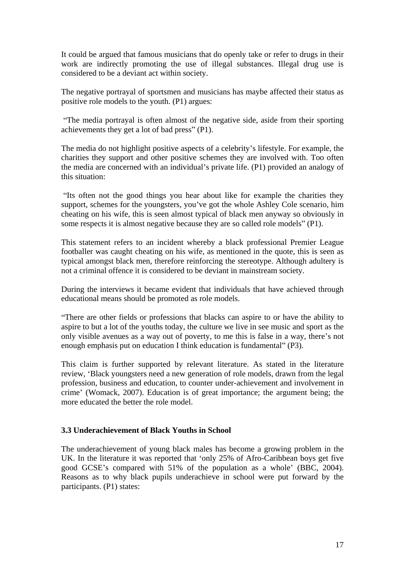It could be argued that famous musicians that do openly take or refer to drugs in their work are indirectly promoting the use of illegal substances. Illegal drug use is considered to be a deviant act within society.

The negative portrayal of sportsmen and musicians has maybe affected their status as positive role models to the youth. (P1) argues:

"The media portrayal is often almost of the negative side, aside from their sporting achievements they get a lot of bad press" (P1).

The media do not highlight positive aspects of a celebrity's lifestyle. For example, the charities they support and other positive schemes they are involved with. Too often the media are concerned with an individual's private life. (P1) provided an analogy of this situation:

"Its often not the good things you hear about like for example the charities they support, schemes for the youngsters, you've got the whole Ashley Cole scenario, him cheating on his wife, this is seen almost typical of black men anyway so obviously in some respects it is almost negative because they are so called role models" (P1).

This statement refers to an incident whereby a black professional Premier League footballer was caught cheating on his wife, as mentioned in the quote, this is seen as typical amongst black men, therefore reinforcing the stereotype. Although adultery is not a criminal offence it is considered to be deviant in mainstream society.

During the interviews it became evident that individuals that have achieved through educational means should be promoted as role models.

There are other fields or professions that blacks can aspire to or have the ability to aspire to but a lot of the youths today, the culture we live in see music and sport as the only visible avenues as a way out of poverty, to me this is false in a way, there's not enough emphasis put on education I think education is fundamental" (P3).

This claim is further supported by relevant literature. As stated in the literature review, Black youngsters need a new generation of role models, drawn from the legal profession, business and education, to counter under-achievement and involvement in crime' (Womack, 2007). Education is of great importance; the argument being; the more educated the better the role model.

#### **3.3 Underachievement of Black Youths in School**

The underachievement of young black males has become a growing problem in the UK. In the literature it was reported that 'only  $25\%$  of Afro-Caribbean boys get five good GCSE's compared with 51% of the population as a whole' (BBC, 2004). Reasons as to why black pupils underachieve in school were put forward by the participants. (P1) states: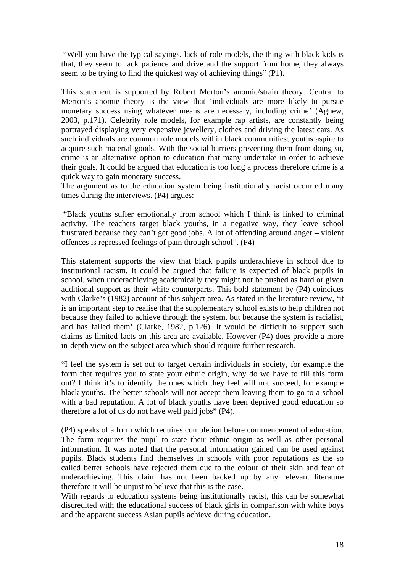Well you have the typical sayings, lack of role models, the thing with black kids is that, they seem to lack patience and drive and the support from home, they always seem to be trying to find the quickest way of achieving things" (P1).

This statement is supported by Robert Merton's anomie/strain theory. Central to Merton's anomie theory is the view that 'individuals are more likely to pursue monetary success using whatever means are necessary, including crime' (Agnew, 2003, p.171). Celebrity role models, for example rap artists, are constantly being portrayed displaying very expensive jewellery, clothes and driving the latest cars. As such individuals are common role models within black communities; youths aspire to acquire such material goods. With the social barriers preventing them from doing so, crime is an alternative option to education that many undertake in order to achieve their goals. It could be argued that education is too long a process therefore crime is a quick way to gain monetary success.

The argument as to the education system being institutionally racist occurred many times during the interviews. (P4) argues:

Black youths suffer emotionally from school which I think is linked to criminal activity. The teachers target black youths, in a negative way, they leave school frustrated because they can't get good jobs. A lot of offending around anger  $-$  violent offences is repressed feelings of pain through school".  $(P4)$ 

This statement supports the view that black pupils underachieve in school due to institutional racism. It could be argued that failure is expected of black pupils in school, when underachieving academically they might not be pushed as hard or given additional support as their white counterparts. This bold statement by (P4) coincides with Clarke's (1982) account of this subject area. As stated in the literature review, 'it is an important step to realise that the supplementary school exists to help children not because they failed to achieve through the system, but because the system is racialist, and has failed them' (Clarke, 1982, p.126). It would be difficult to support such claims as limited facts on this area are available. However (P4) does provide a more in-depth view on the subject area which should require further research.

I feel the system is set out to target certain individuals in society, for example the form that requires you to state your ethnic origin, why do we have to fill this form out? I think it's to identify the ones which they feel will not succeed, for example black youths. The better schools will not accept them leaving them to go to a school with a bad reputation. A lot of black youths have been deprived good education so therefore a lot of us do not have well paid jobs"  $(P4)$ .

(P4) speaks of a form which requires completion before commencement of education. The form requires the pupil to state their ethnic origin as well as other personal information. It was noted that the personal information gained can be used against pupils. Black students find themselves in schools with poor reputations as the so called better schools have rejected them due to the colour of their skin and fear of underachieving. This claim has not been backed up by any relevant literature therefore it will be unjust to believe that this is the case.

With regards to education systems being institutionally racist, this can be somewhat discredited with the educational success of black girls in comparison with white boys and the apparent success Asian pupils achieve during education.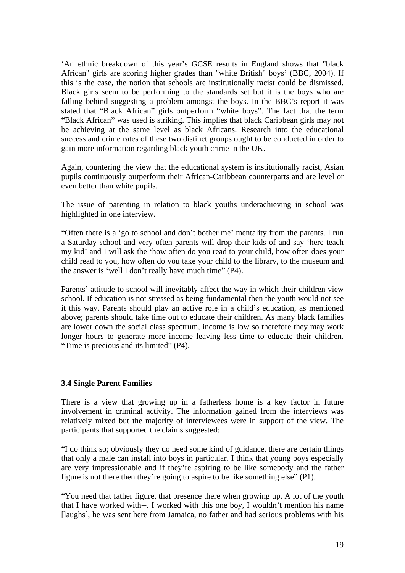An ethnic breakdown of this year's GCSE results in England shows that "black" African" girls are scoring higher grades than "white British" boys' (BBC, 2004). If this is the case, the notion that schools are institutionally racist could be dismissed. Black girls seem to be performing to the standards set but it is the boys who are falling behind suggesting a problem amongst the boys. In the BBC's report it was stated that "Black African" girls outperform "white boys". The fact that the term "Black African" was used is striking. This implies that black Caribbean girls may not be achieving at the same level as black Africans. Research into the educational success and crime rates of these two distinct groups ought to be conducted in order to gain more information regarding black youth crime in the UK.

Again, countering the view that the educational system is institutionally racist, Asian pupils continuously outperform their African-Caribbean counterparts and are level or even better than white pupils.

The issue of parenting in relation to black youths underachieving in school was highlighted in one interview.

"Often there is a 'go to school and don't bother me' mentality from the parents. I run a Saturday school and very often parents will drop their kids of and say 'here teach my kid' and I will ask the 'how often do you read to your child, how often does your child read to you, how often do you take your child to the library, to the museum and the answer is 'well I don't really have much time"  $(P4)$ .

Parents' attitude to school will inevitably affect the way in which their children view school. If education is not stressed as being fundamental then the youth would not see it this way. Parents should play an active role in a child's education, as mentioned above; parents should take time out to educate their children. As many black families are lower down the social class spectrum, income is low so therefore they may work longer hours to generate more income leaving less time to educate their children. "Time is precious and its limited" (P4).

## **3.4 Single Parent Families**

There is a view that growing up in a fatherless home is a key factor in future involvement in criminal activity. The information gained from the interviews was relatively mixed but the majority of interviewees were in support of the view. The participants that supported the claims suggested:

I do think so; obviously they do need some kind of guidance, there are certain things that only a male can install into boys in particular. I think that young boys especially are very impressionable and if they re aspiring to be like somebody and the father figure is not there then they're going to aspire to be like something else"  $(P1)$ .

You need that father figure, that presence there when growing up. A lot of the youth that I have worked with--. I worked with this one boy, I wouldn't mention his name [laughs], he was sent here from Jamaica, no father and had serious problems with his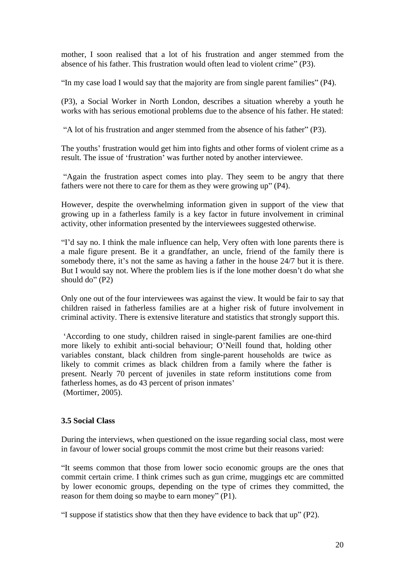mother, I soon realised that a lot of his frustration and anger stemmed from the absence of his father. This frustration would often lead to violent crime" (P3).

"In my case load I would say that the majority are from single parent families"  $(P4)$ .

(P3), a Social Worker in North London, describes a situation whereby a youth he works with has serious emotional problems due to the absence of his father. He stated:

"A lot of his frustration and anger stemmed from the absence of his father" (P3).

The youths' frustration would get him into fights and other forms of violent crime as a result. The issue of 'frustration' was further noted by another interviewee.

Again the frustration aspect comes into play. They seem to be angry that there fathers were not there to care for them as they were growing up" (P4).

However, despite the overwhelming information given in support of the view that growing up in a fatherless family is a key factor in future involvement in criminal activity, other information presented by the interviewees suggested otherwise.

"I'd say no. I think the male influence can help, Very often with lone parents there is a male figure present. Be it a grandfather, an uncle, friend of the family there is somebody there, it's not the same as having a father in the house 24/7 but it is there. But I would say not. Where the problem lies is if the lone mother doesn't do what she  $should do''(P2)$ 

Only one out of the four interviewees was against the view. It would be fair to say that children raised in fatherless families are at a higher risk of future involvement in criminal activity. There is extensive literature and statistics that strongly support this.

According to one study, children raised in single-parent families are one-third more likely to exhibit anti-social behaviour; O'Neill found that, holding other variables constant, black children from single-parent households are twice as likely to commit crimes as black children from a family where the father is present. Nearly 70 percent of juveniles in state reform institutions come from fatherless homes, as do 43 percent of prison inmates' (Mortimer, 2005).

#### **3.5 Social Class**

During the interviews, when questioned on the issue regarding social class, most were in favour of lower social groups commit the most crime but their reasons varied:

It seems common that those from lower socio economic groups are the ones that commit certain crime. I think crimes such as gun crime, muggings etc are committed by lower economic groups, depending on the type of crimes they committed, the reason for them doing so maybe to earn money" (P1).

"I suppose if statistics show that then they have evidence to back that  $up$ " (P2).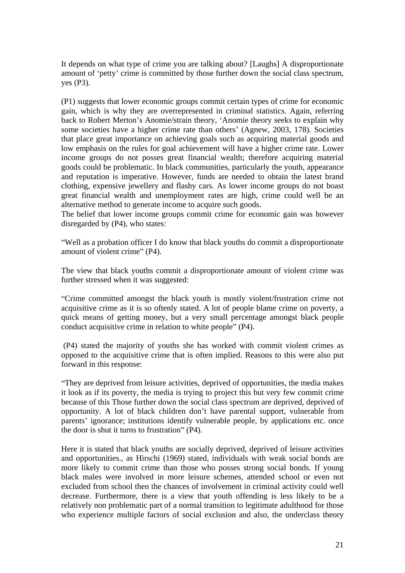It depends on what type of crime you are talking about? [Laughs] A disproportionate amount of 'petty' crime is committed by those further down the social class spectrum,  $yes$  (P3).

(P1) suggests that lower economic groups commit certain types of crime for economic gain, which is why they are overrepresented in criminal statistics. Again, referring back to Robert Merton's Anomie/strain theory, 'Anomie theory seeks to explain why some societies have a higher crime rate than others' (Agnew, 2003, 178). Societies that place great importance on achieving goals such as acquiring material goods and low emphasis on the rules for goal achievement will have a higher crime rate. Lower income groups do not posses great financial wealth; therefore acquiring material goods could be problematic. In black communities, particularly the youth, appearance and reputation is imperative. However, funds are needed to obtain the latest brand clothing, expensive jewellery and flashy cars. As lower income groups do notboast great financial wealth and unemployment rates are high, crime could well be an alternative method to generate income to acquire such goods.

The belief that lower income groups commit crime for economic gain was however disregarded by (P4), who states:

Well as a probation officer I do know that black youths do commit a disproportionate amount of violent crime"  $(P4)$ .

The view that black youths commit a disproportionate amount of violent crime was further stressed when it was suggested:

Crime committed amongst the black youth is mostly violent/frustration crime not acquisitive crime as it is so oftenly stated. A lot of people blame crime on poverty, a quick means of getting money, but a very small percentage amongst black people conduct acquisitive crime in relation to white people" (P4).

(P4) stated the majority of youths she has worked with commit violent crimes as opposed to the acquisitive crime that is often implied. Reasons to this were also put forward in this response:

They are deprived from leisure activities, deprived of opportunities, the media makes it look as if its poverty, the media is trying to project this but very few commit crime because of this Those further down the social class spectrum are deprived, deprived of opportunity. A lot of black children don't have parental support, vulnerable from parents' ignorance; institutions identify vulnerable people, by applications etc. once the door is shut it turns to frustration"  $(P4)$ .

Here it is stated that black youths are socially deprived, deprived of leisure activities and opportunities., as Hirschi (1969) stated, individuals with weak social bonds are more likely to commit crime than those who posses strong social bonds. If young black males were involved in more leisure schemes, attended school or even not excluded from school then the chances of involvement in criminal activity could well decrease. Furthermore, there is a view that youth offending is less likely to be a relatively non problematic part of a normal transition to legitimate adulthood for those who experience multiple factors of social exclusion and also, the underclass theory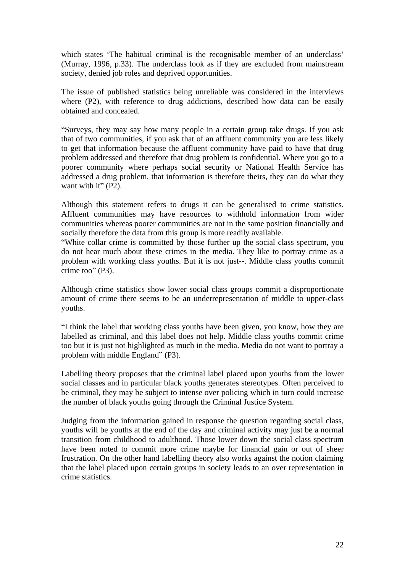which states 'The habitual criminal is the recognisable member of an underclass' (Murray, 1996, p.33). The underclass look as if they are excluded from mainstream society, denied job roles and deprived opportunities.

The issue of published statistics being unreliable was considered in the interviews where (P2), with reference to drug addictions, described how data can be easily obtained and concealed.

Surveys, they may say how many people in a certain group take drugs. If you ask that of two communities, if you ask that of an affluent community you are less likely to get that information because the affluent community have paid to have that drug problem addressed and therefore that drug problem is confidential. Where you go to a poorer community where perhaps social security or National Health Service has addressed a drug problem, that information is therefore theirs, they can do what they want with it"  $(P2)$ .

Although this statement refers to drugs it can be generalised to crime statistics. Affluent communities may have resources to withhold information from wider communities whereas poorer communities are not in the same position financially and socially therefore the data from this group is more readily available.

"White collar crime is committed by those further up the social class spectrum, you do not hear much about these crimes in the media. They like to portray crime as a problem with working class youths. But it is not just--. Middle class youths commit  $\text{crime too''}$  (P3).

Although crime statistics show lower social class groups commit a disproportionate amount of crime there seems to be an underrepresentation of middle to upper-class youths.

I think the label that working class youths have been given, you know, how they are labelled as criminal, and this label does not help. Middle class youths commit crime too but it is just not highlighted as much in the media. Media do not want to portray a problem with middle England" (P3). problem with middle England" (P3).

Labelling theory proposes that the criminal label placed upon youths from the lower social classes and in particular black youths generates stereotypes. Often perceived to be criminal, they may be subject to intense over policing which in turn could increase the number of black youths going through the Criminal Justice System.

Judging from the information gained in response the question regarding social class, youths will be youths at the end of the day and criminal activity may just be a normal transition from childhood to adulthood. Those lower down the social class spectrum have been noted to commit more crime maybe for financial gain or out of sheer frustration. On the other hand labelling theory also works against the notion claiming that the label placed upon certain groups in society leads to an over representation in crime statistics.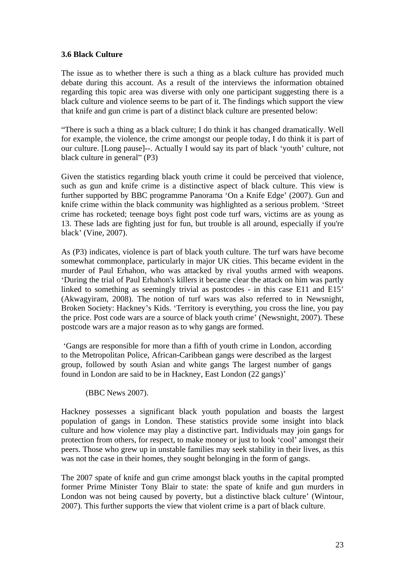## **3.6 Black Culture**

The issue as to whether there is such a thing as a black culture has provided much debate during this account. As a result of the interviews the information obtained regarding this topic area was diverse with only one participant suggesting there is a black culture and violence seems to be part of it. The findingswhich support the view that knife and gun crime is part of a distinct black culture are presented below:

There is such a thing as a black culture; I do think it has changed dramatically. Well for example, the violence, the crime amongst our people today, I do think it is part of our culture. [Long pause]--. Actually I would say its part of black 'youth' culture, not black culture in general"  $(P3)$ 

Given the statistics regarding black youth crime it could be perceived that violence, such as gun and knife crime is a distinctive aspect of black culture. This view is further supported by BBC programme Panorama 'On a Knife Edge' (2007). Gun and knife crime within the black community was highlighted as a serious problem. 'Street' crime has rocketed; teenage boys fight post code turf wars, victims are as young as 13. These lads are fighting just for fun, but trouble is all around, especially if you're black (Vine, 2007).

As (P3) indicates, violence is part of black youth culture. The turf wars have become somewhat commonplace, particularly in major UK cities. This became evident in the murder of Paul Erhahon, who was attacked by rival youths armed with weapons. During the trial of Paul Erhahon's killers it became clear the attack on him was partly linked to something as seemingly trivial as postcodes - in this case E11 and E15' (Akwagyiram, 2008). The notion of turf wars was also referred to in Newsnight, Broken Society: Hackney's Kids. 'Territory is everything, you cross the line, you pay the price. Post code wars are a source of black youth crime' (Newsnight, 2007). These postcode wars are a major reason as to why gangs are formed.

Gangs are responsible for more than a fifth of youth crime in London, according to the Metropolitan Police, African-Caribbean gangs were described as the largest group, followed by south Asian and white gangs The largest number of gangs found in London are said to be in Hackney, East London (22 gangs)

(BBC News 2007).

Hackney possesses a significant black youth population and boasts the largest population of gangs in London. These statistics provide some insight into black culture and how violence may play a distinctive part. Individuals may join gangs for protection from others, for respect, to make money or just to look 'cool' amongst their peers. Those who grew up in unstable families may seek stability in their lives, as this was not the case in their homes, they sought belonging in the form of gangs.

The 2007 spate of knife and gun crime amongst black youths in the capital prompted former Prime Minister Tony Blair to state: the spate of knife and gun murders in London was not being caused by poverty, but a distinctive black culture' (Wintour, 2007). This further supports the view that violent crime is a part of black culture.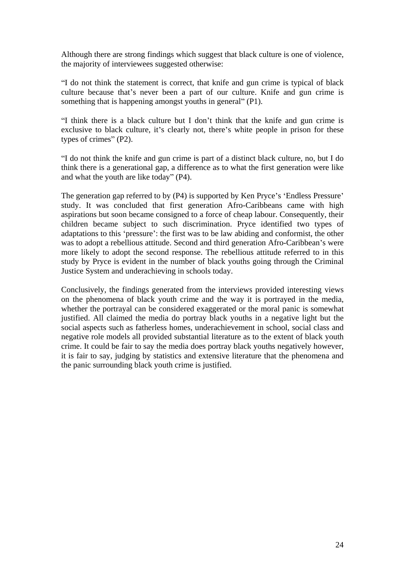Although there are strong findings which suggest that black culture is one of violence, the majority of interviewees suggested otherwise:

I do not think the statement is correct, that knife and gun crime is typical of black culture because that's never been a part of our culture. Knife and gun crime is something that is happening amongst youths in general" (P1).

"I think there is a black culture but I don't think that the knife and gun crime is exclusive to black culture, it's clearly not, there's white people in prison for these types of crimes"  $(P2)$ .

I do not think the knife and gun crime is part of a distinct black culture, no, but I do think there is a generational gap, a difference as to what the first generation were like and what the youth are like today"  $(P4)$ .

The generation gap referred to by (P4) is supported by Ken Pryce's 'Endless Pressure' study. It was concluded that first generation Afro-Caribbeans came with high aspirations but soon became consigned to a force of cheap labour. Consequently, their children became subject to such discrimination. Pryce identified two types of adaptations to this 'pressure': the first was to be law abiding and conformist, the other was to adopt a rebellious attitude. Second and third generation Afro-Caribbean's were more likely to adopt the second response. The rebellious attitude referred to in this study by Pryce is evident in the number of black youths going through the Criminal Justice System and underachieving in schools today.

Conclusively, the findings generated from the interviews provided interesting views on the phenomena of black youth crime and the way it is portrayed in the media, whether the portrayal can be considered exaggerated or the moral panic is somewhat justified. All claimed the media do portray black youths in a negative light but the social aspects such as fatherless homes, underachievement in school, social class and negative role models all provided substantial literature as to the extent of black youth crime. It could be fair to say the media does portray black youths negatively however, it is fair to say, judging by statistics and extensive literature that the phenomena and the panic surrounding black youth crime is justified.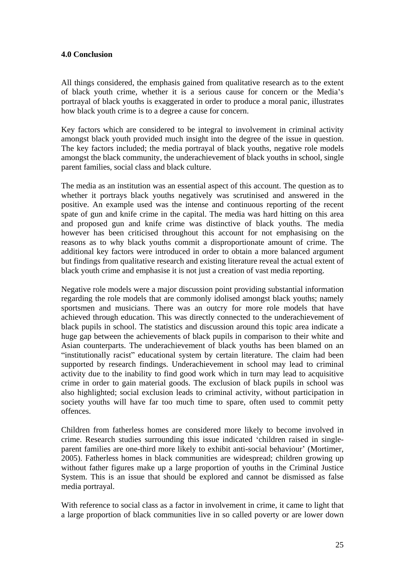#### **4.0 Conclusion**

All things considered, the emphasis gained from qualitative research as to the extent of black youth crime, whether it is a serious cause for concern or the Media's portrayal of black youths is exaggerated in order to produce a moral panic, illustrates how black youth crime is to a degree a cause for concern.

Key factors which are considered to be integral to involvement in criminal activity amongst black youth provided much insight into the degree of the issue in question. The key factors included; the media portrayal of black youths, negative role models amongst the black community, the underachievement of black youths in school, single parent families, social class and black culture.

The media as an institution was an essential aspect of this account. The question as to whether it portrays black youths negatively was scrutinised and answered in the positive. An example used was the intense and continuous reporting of the recent spate of gun and knife crime in the capital. The media was hard hitting on this area and proposed gun and knife crime was distinctive of black youths. The media however has been criticised throughout this account for not emphasising on the reasons as to why black youths commit a disproportionate amount of crime. The additional key factors were introduced in order to obtain a more balanced argument but findings from qualitative research and existing literature reveal the actual extent of black youth crime and emphasise it is not just a creation of vast media reporting.

Negative role models were a major discussion point providing substantial information regarding the role models that are commonly idolised amongst black youths; namely sportsmen and musicians. There was an outcry for more role models that have achieved through education. This was directly connected to the underachievement of black pupils in school. The statistics and discussion around this topic area indicate a huge gap between the achievements of black pupils in comparison to their white and Asian counterparts. The underachievement of black youths has been blamed on an "institutionally racist" educational system by certain literature. The claim had been supported by research findings. Underachievement in school may lead to criminal activity due to the inability to find good work which in turn may lead to acquisitive crime in order to gain material goods. The exclusion of black pupils in school was also highlighted; social exclusion leads to criminal activity, without participation in society youths will have far too much time to spare, often used to commit petty offences.

Children from fatherless homes are considered more likely to become involved in crime. Research studies surrounding this issue indicated 'children raised in singleparent families are one-third more likely to exhibit anti-social behaviour' (Mortimer, 2005). Fatherless homes in black communities are widespread; children growing up without father figures make up a large proportion of youths in the Criminal Justice System. This is an issue that should be explored and cannot be dismissed as false media portrayal.

With reference to social class as a factor in involvement in crime, it came to light that a large proportion of black communities live in so called poverty or are lower down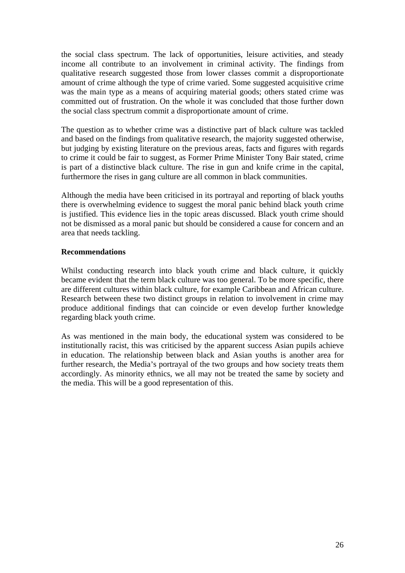the social class spectrum. The lack of opportunities, leisure activities, and steady income all contribute to an involvement in criminal activity. The findings from qualitative research suggested those from lower classes commit a disproportionate amount of crime although the type of crime varied. Some suggested acquisitive crime was the main type as a means of acquiring material goods; others stated crime was committed out of frustration. On the whole it was concluded that those further down the social class spectrum commit a disproportionate amount of crime.

The question as to whether crime was a distinctive part of black culture was tackled and based on the findings from qualitative research, the majority suggested otherwise, but judging by existing literature on the previous areas, facts and figures with regards to crime it could be fair to suggest, as Former Prime Minister Tony Bair stated, crime is part of a distinctive black culture. The rise in gun and knife crime in the capital, furthermore the rises in gang culture are all common in black communities.

Although the media have been criticised in its portrayal and reporting of black youths there is overwhelming evidence to suggest the moral panic behind black youth crime is justified. This evidence lies in the topic areas discussed. Black youth crime should not be dismissed as a moral panic but should be considered a cause for concern and an area that needs tackling.

#### **Recommendations**

Whilst conducting research into black youth crime and black culture, it quickly became evident that the term black culture wastoo general. To be more specific, there are different cultures within black culture, for example Caribbean and African culture. Research between these two distinct groups in relation to involvement in crime may produce additional findings that can coincide or even develop further knowledge regarding black youth crime.

As was mentioned in the main body, the educational system was considered to be institutionally racist, this was criticised by the apparent success Asian pupils achieve in education. The relationship between black and Asian youths is another area for further research, the Media's portrayal of the two groups and how society treats them accordingly. As minority ethnics, we all may not be treated the same by society and the media. This will be a good representation of this.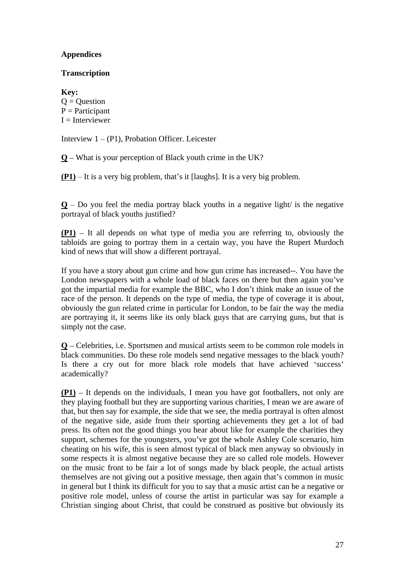# **Appendices**

# **Transcription**

**Key:**  $Q = Q$ uestion P = Participant I = Interviewer

Interview  $1 - (P1)$ , Probation Officer. Leicester

**Q** What is your perception of Black youth crime in the UK?

 $(P1)$  – It is a very big problem, that's it [laughs]. It is a very big problem.

 $\mathbf{Q}$  – Do you feel the media portray black youths in a negative light/ is the negative portrayal of black youths justified?

**(P1)** – It all depends on what type of media you are referring to, obviously the tabloids are going to portray them in a certain way, you have the Rupert Murdoch kind of news that will show a different portrayal.

If you have a story about gun crime and how gun crime has increased--. You have the London newspapers with a whole load of black faces on there but then again you've got the impartial media for example the BBC, who I don't think make an issue of the race of the person. It depends on the type of media, the type of coverage it is about, obviously the gun related crime in particular for London, to be fair the way the media are portraying it, it seems like its only black guys that are carrying guns, but that is simply not the case.

**Q** Celebrities, i.e. Sportsmen and musical artists seem to be common role models in black communities. Do these role models send negative messages to the black youth? Is there a cry out for more black role models that have achieved 'success' academically?

**(P1)** – It depends on the individuals, I mean you have got footballers, not only are they playing football but they are supporting various charities, I mean we are aware of that, but then say for example, the side that we see, the media portrayal is often almost of the negative side, aside from their sporting achievements they get a lot of bad press. Its often not the good things you hear about like for example the charities they support, schemes for the youngsters, you ve got the whole Ashley Cole scenario, him cheating on his wife, this is seen almost typical of black men anyway so obviously in some respects it is almost negative because they are so called role models. However on the music front to be fair a lot of songs made by black people, the actual artists themselves are not giving out a positive message, then again that's common in music in general but I think its difficult for you to say that a music artist can be a negative or positive role model, unless of course the artist in particular was say for example a Christian singing about Christ, that could be construed as positive but obviously its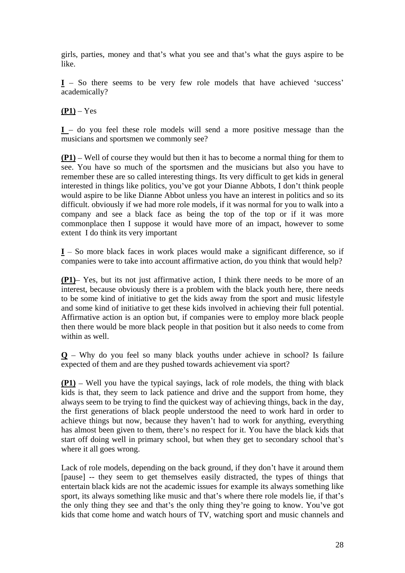girls, parties, money and that's what you see and that's what the guys aspire to be like.

 $I - So$  there seems to be very few role models that have achieved 'success' academically?

# **(P1)** Yes

 $I$  do you feel these role models will send a more positive message than the musicians and sportsmen we commonly see?

**(P1)** – Well of course they would but then it has to become a normal thing for them to see. You have so much of the sportsmen and the musicians but also you have to remember these are so called interesting things. Its very difficult to get kids in general interested in things like politics, you've got your Dianne Abbots, I don't think people would aspire to be like Dianne Abbot unless you have an interest in politics and so its difficult. obviously if we had more role models, if it was normal for you to walk into a company and see a black face as being the top of the top or if it was more commonplace then I suppose it would have more of an impact, however to some extent I do think its very important

**I** – So more black faces in work places would make a significant difference, so if companies were to take into account affirmative action, do you think that would help?

**(P1)** Yes, but its not just affirmative action, I think there needs to be more of an interest, because obviously there is a problem with the black youth here, there needs to be some kind of initiative to get the kids away from the sport and music lifestyle and some kind of initiative to get these kids involved in achieving their full potential. Affirmative action is an option but, if companies were to employ more black people then there would be more black people in that position but it also needs to come from within as well.

 $Q$  – Why do you feel so many black youths under achieve in school? Is failure expected of them and are they pushed towards achievement via sport?

 $(P1)$  – Well you have the typical sayings, lack of role models, the thing with black kids is that, they seem to lack patience and drive and the support from home, they always seem to be trying to find the quickest way of achieving things, back in the day, the first generations of black people understood theneed to work hard in order to achieve things but now, because they haven't had to work for anything, everything has almost been given to them, there's no respect for it. You have the black kids that start off doing well in primary school, but when they get to secondary school that's where it all goes wrong.

Lack of role models, depending on the back ground, if they don't have it around them [pause] -- they seem to get themselves easily distracted, the types of things that entertain black kids are not the academic issues for example its always something like sport, its always something like music and that's where there role models lie, if that's the only thing they see and that's the only thing they're going to know. You've got kids that come home and watch hours of TV, watching sport and music channels and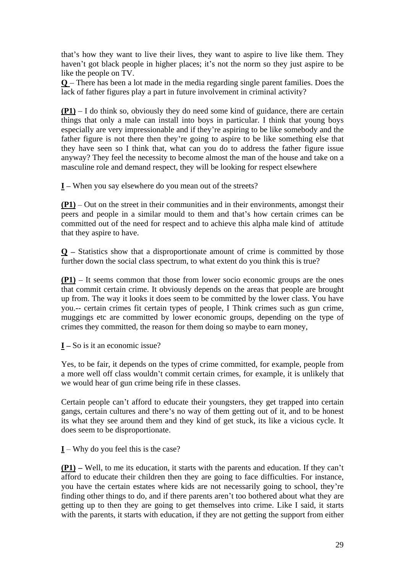that's how they want to live their lives, they want to aspire to live like them. They haven't got black people in higher places; it's not the norm so they just aspire to be like the people on TV.

**Q** There has been a lot made in the media regarding single parent families. Does the lack of father figures play a part in future involvement in criminal activity?

**(P1)** – I do think so, obviously they do need some kind of guidance, there are certain things that only a male can install into boys in particular. I think that young boys especially are very impressionable and if they're aspiring to be like somebody and the father figure is not there then they're going to aspire to be like something else that they have seen so I think that, what can you do to address the father figure issue anyway? They feel the necessity to become almost the man of the house and take on a masculine role and demand respect, they will be looking for respect elsewhere

**I** – When you say elsewhere do you mean out of the streets?

 $(P1)$  – Out on the street in their communities and in their environments, amongst their peers and people in a similar mould to them and that's how certain crimes can be committed out of the need for respect and to achieve this alpha male kind of attitude that they aspire to have.

 $Q$  – Statistics show that a disproportionate amount of crime is committed by those further down the social class spectrum, to what extent do you think this is true?

**(P1)** – It seems common that those from lower socio economic groups are the ones that commit certain crime. It obviously depends on the areas that people are brought up from. The way it looks it does seem to be committed by the lower class. You have you.-- certain crimes fit certain types of people, I Think crimes such as gun crime, muggings etc are committed by lower economic groups, depending on the type of crimes they committed, the reason for them doing so maybe to earn money,

 $I - So$  is it an economic issue?

Yes, to be fair, it depends on the types of crime committed, for example, people from a more well off class wouldn't commit certain crimes, for example, it is unlikely that we would hear of gun crime being rife in these classes.

Certain people can't afford to educate their youngsters, they get trapped into certain gangs, certain cultures and there's no way of them getting out of it, and to be honest its what they see around them and they kind of get stuck, its like a vicious cycle. It does seem to be disproportionate.

 $I$  – Why do you feel this is the case?

 $(P1)$  – Well, to me its education, it starts with the parents and education. If they can't afford to educate their children then they are going to face difficulties. For instance, you have the certain estates where kids are not necessarily going to school, they're finding other things to do, and if there parents aren't too bothered about what they are getting up to then they are going to get themselves into crime. Like I said, it starts with the parents, it starts with education, if they are not getting the support from either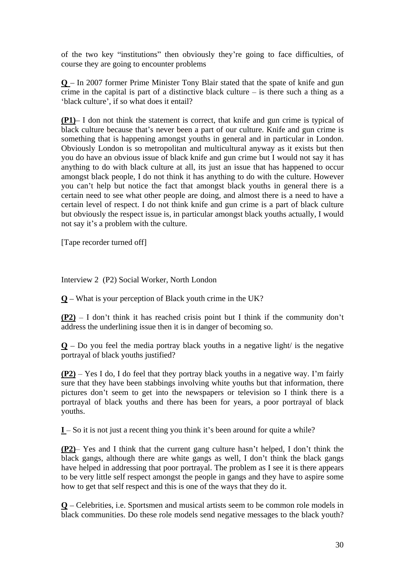of the two key "institutions" then obviously they're going to face difficulties, of course they are going to encounter problems

**Q** – In 2007 former Prime Minister Tony Blair stated that the spate of knife and gun crime in the capital is part of a distinctive black culture  $-$  is there such a thing as a 'black culture', if so what does it entail?

**(P1)** I don not think the statement is correct, that knife and gun crime is typical of black culture because that's never been a part of our culture. Knife and gun crime is something that is happening amongst youths in general and in particular in London. Obviously London is so metropolitan and multicultural anyway as it exists but then you do have an obvious issue of black knife and gun crime but I would not say it has anything to do with black culture at all, its just an issue that has happened to occur amongst black people, I do not think it has anything to do with the culture. However you can t help but notice the fact that amongst black youths in general there is a certain need to see what other people are doing, and almost there is a need to have a certain level of respect. I do not think knife and gun crime is a part of black culture but obviously the respect issue is, in particular amongst black youths actually, I would not say it's a problem with the culture.

[Tape recorder turned off]

Interview 2 (P2) Social Worker, North London

**Q** What is your perception of Black youth crime in the UK?

 $(P2)$  – I don't think it has reached crisis point but I think if the community don't address the underlining issue then it is in danger of becoming so.

 $Q$  – Do you feel the media portray black youths in a negative light/ is the negative portrayal of black youths justified?

 $(P2)$  – Yes I do, I do feel that they portray black youths in a negative way. I'm fairly sure that they have been stabbings involving white youths but that information, there pictures don't seem to get into the newspapers or television so I think there is a portrayal of black youths and there has been for years, a poor portrayal of black youths.

**I** – So it is not just a recent thing you think it's been around for quite a while?

**(P2)** Yes and I think that the current gang culture hasn't helped, I don't think the black gangs, although there are white gangs as well, I don't think the black gangs have helped in addressing that poor portrayal. The problem as I see it is there appears to be very little self respect amongst the people in gangs and they have to aspire some how to get that self respect and this is one of the ways that they do it.

**Q** Celebrities, i.e. Sportsmen and musical artists seem to be common role models in black communities. Do these role models send negative messages to the black youth?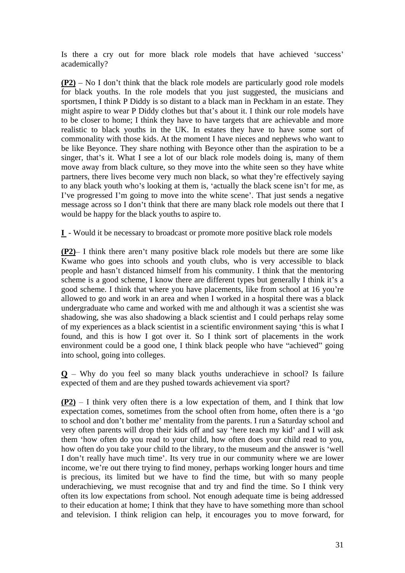Is there a cry out for more black role models that have achieved 'success' academically?

 $(P2)$  – No I don't think that the black role models are particularly good role models for black youths. In the role models that you just suggested, the musicians and sportsmen, I think P Diddy is so distant to a black man in Peckham in an estate. They might aspire to wear P Diddy clothes but that's about it. I think our role models have to be closer to home; I think they have to have targets that are achievable and more realistic to black youths in the UK. In estates they have to have some sort of commonality with those kids. At the moment I have nieces and nephews who want to be like Beyonce. They share nothing with Beyonce other than the aspiration to be a singer, that's it. What I see a lot of our black role models doing is, many of them move away from black culture, so they move into the white seen so they have white partners, there lives become very much non black, so what they're effectively saying to any black youth who's looking at them is, 'actually the black scene isn't for me, as I've progressed I'm going to move into the white scene'. That just sends a negative message across so I don't think that there are many black role models out there that I would be happy for the black youths to aspire to.

**I** - Would it be necessary to broadcast or promote more positive black role models

**(P2)** I think there aren't many positive black role models but there are some like Kwame who goes into schools and youth clubs, who is very accessible to black people and hasn't distanced himself from his community. I think that the mentoring scheme is a good scheme, I know there are different types but generally I think it's a good scheme. I think that where you have placements, like from school at 16 you re allowed to go and work in an area and when I worked in a hospital there was a black undergraduate who came and worked with me and although it was a scientist she was shadowing, she was also shadowing a black scientist and I could perhaps relay some of my experiences as a black scientist in a scientific environment saying 'this is what I found, and this is how I got over it. So I think sort of placements in the work environment could be a good one, I think black people who have "achieved" going into school, going into colleges.

 $Q$  – Why do you feel so many black youths underachieve in school? Is failure expected of them and are they pushed towards achievement via sport?

 $(P2)$  – I think very often there is a low expectation of them, and I think that low expectation comes, sometimes from the school often from home, often there is a 'go to school and don't bother me' mentality from the parents. I run a Saturday school and very often parents will drop their kids off and say 'here teach my kid' and I will ask them 'how often do you read to your child, how often does your child read to you, how often do you take your child to the library, to the museum and the answer is 'well I don't really have much time'. Its very true in our community where we are lower income, we're out there trying to find money, perhaps working longer hours and time is precious, its limited but we have to find the time, but with so many people underachieving, we must recognise that and try and find the time. So I think very often its low expectations from school. Not enough adequate time is being addressed to their education at home; I think that they have to have something more than school and television. I think religion can help, it encourages you to move forward, for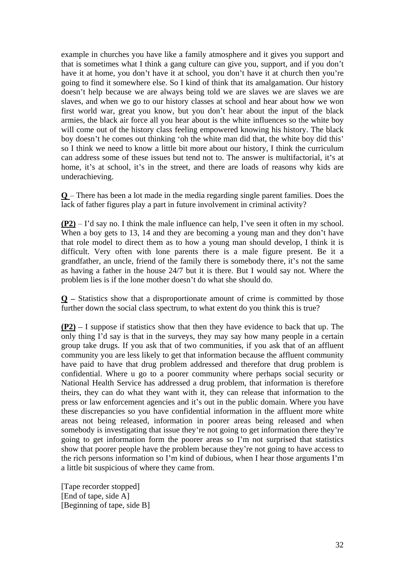example in churches you have like a family atmosphere and it gives you support and that is sometimes what I think a gang culture can give you, support, and if you don't have it at home, you don't have it at school, you don't have it at church then you're going to find it somewhere else. So I kind of think that its amalgamation. Our history doesn't help because we are always being told we are slaves we are slaves we are slaves, and when we go to our history classes at school and hear about how we won first world war, great you know, but you don't hear about the input of the black armies, the black air force all you hear about is the white influences so the white boy will come out of the history class feeling empowered knowing his history. The black boy doesn't he comes out thinking 'oh the white man did that, the white boy did this' so I think we need to know a little bit more about our history, I think the curriculum can address some of these issues but tend not to. The answer is multifactorial, it's at home, it's at school, it's in the street, and there are loads of reasons why kids are underachieving.

**Q** There has been a lot made in the media regarding single parent families. Does the lack of father figures play a part in future involvement in criminal activity?

 $(P2) - I<sup>2</sup>$  d say no. I think the male influence can help, I've seen it often in my school. When a boy gets to 13, 14 and they are becoming a young man and they don't have that role model to direct them as to how a young man should develop, I think it is difficult. Very often with lone parents there is a male figure present. Be it a grandfather, an uncle, friend of the family there is somebody there, it's not the same as having a father in the house 24/7 but it is there. But Iwould say not. Where the problem lies is if the lone mother doesn't do what she should do.

 $Q$  – Statistics show that a disproportionate amount of crime is committed by those further down the social class spectrum, to what extent do you think this is true?

**(P2)** – I suppose if statistics show that then they have evidence to back that up. The only thing I'd say is that in the surveys, they may say how many people in a certain group take drugs. If you ask that of two communities, if you ask that of an affluent community you are less likely to get that information because the affluent community have paid to have that drug problem addressed and therefore that drug problem is confidential. Where u go to a poorer community where perhaps social security or National Health Service has addressed a drug problem, that information is therefore theirs, they can do what they want with it, they can release that information to the press or law enforcement agencies and it's out in the public domain. Where you have these discrepancies so you have confidential information in the affluent more white areas not being released, information in poorer areas being released and when somebody is investigating that issue they're not going to get information there they're going to get information form the poorer areas so I'm not surprised that statistics show that poorer people have the problem because they're not going to have access to the rich persons information so I'm kind of dubious, when I hear those arguments I'm a little bit suspicious of where they came from.

[Tape recorder stopped] [End of tape, side A] [Beginning of tape, side B]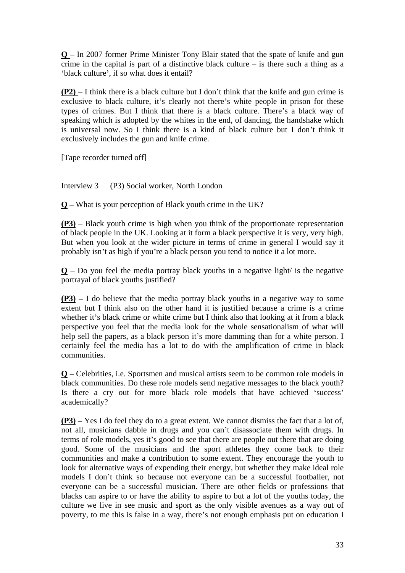**Q** – In 2007 former Prime Minister Tony Blair stated that the spate of knife and gun crime in the capital is part of a distinctive black culture  $-$  is there such a thing as a 'black culture', if so what does it entail?

 $(P2) - I$  think there is a black culture but I don't think that the knife and gun crime is exclusive to black culture, it's clearly not there's white people in prison for these types of crimes. But I think that there is a black culture. There's a black way of speaking which is adopted by the whites in the end, of dancing, the handshake which is universal now. So I think there is a kind of black culture but I don't think it exclusively includes the gun and knife crime.

[Tape recorder turned off]

Interview 3 (P3) Social worker, North London

**Q** What is your perception of Black youth crime in the UK?

 $(P3)$  – Black youth crime is high when you think of the proportionate representation of black people in the UK. Looking at it form a black perspective it is very, very high. But when you look at the wider picture in terms of crime in general I would say it probably isn't as high if you're a black person you tend to notice it a lot more.

 $Q$  – Do you feel the media portray black youths in a negative light/ is the negative portrayal of black youths justified?

 $(P3)$  – I do believe that the media portray black youths in a negative way to some extent but I think also on the other hand it is justified because a crime is a crime whether it's black crime or white crime but I think also that looking at it from a black perspective you feel that the media look for the whole sensationalism of what will help sell the papers, as a black person it's more damming than for a white person. I certainly feel the media has a lot to do with the amplification of crime in black communities.

**Q** Celebrities, i.e. Sportsmen and musical artists seem to be common role models in black communities. Do these role models send negative messages to the black youth? Is there a cry out for more black role models that have achieved 'success' academically? academically?

 $(P3)$  – Yes I do feel they do to a great extent. We cannot dismiss the fact that a lot of, not all, musicians dabble in drugs and you can t disassociate them with drugs. In terms of role models, yes it's good to see that there are people out there that are doing good. Some of the musicians and the sport athletes they come back to their communities and make a contribution to some extent. They encourage the youth to look for alternative ways of expending their energy, but whether they make ideal role models I don't think so because not everyone can be a successful footballer, not everyone can be a successful musician. There are other fields or professions that blacks can aspire to or have the ability to aspire to but a lot of the youths today, the culture we live in see music and sport as the only visible avenues as a way out of poverty, to me this is false in a way, there's not enough emphasis put on education I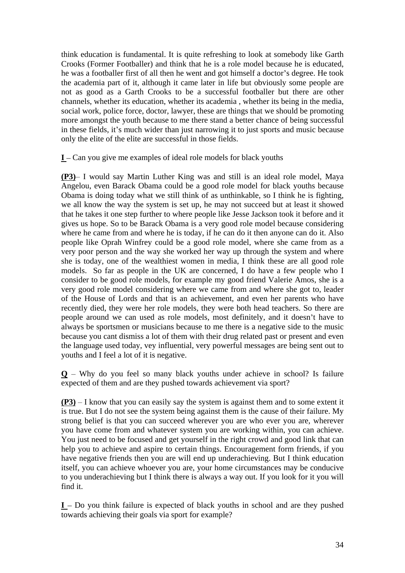think education is fundamental. It is quite refreshing to look at somebody like Garth Crooks (Former Footballer) and think that he is a role model because he is educated, he was a footballer first of all then he went and got himself a doctor's degree. He took the academia part of it, although it came later in life but obviously some people are not as good as a Garth Crooks to be a successful footballer but there are other channels, whether its education, whether its academia , whether its being in the media, social work, police force, doctor, lawyer, these are things that we should be promoting more amongst the youth because to me there stand a better chance of being successful in these fields, it's much wider than just narrowing it to just sports and music because only the elite of the elite aresuccessful in those fields.

**I** Can you give me examples of ideal role models for black youths

**(P3)** I would say Martin Luther King was and still is an ideal role model, Maya Angelou, even Barack Obama could be a good role model for black youths because Obama is doing today what we still think of as unthinkable, so I think he is fighting, we all know the way the system is set up, he may not succeed but at least it showed that he takes it one step further to where people like Jesse Jackson took it before and it gives us hope. So to be Barack Obama is a very good role model because considering where he came from and where he is today, if he can do it then anyone can do it. Also people like Oprah Winfrey could be a good role model, where shecame from as a very poor person and the way she worked her way up through the system and where she is today, one of the wealthiest women in media, I think these are all good role models. So far as people in the UK are concerned, I do have a few people who I consider to be good role models, for example my good friend Valerie Amos, she is a very good role model considering where we came from and where she got to, leader of the House of Lords and that is an achievement, and even her parents who have recently died, they were her role models, they were both head teachers. So there are people around we can used as role models, most definitely, and it doesn't have to always be sportsmen or musicians because to me there is a negative side to the music because you cant dismiss a lot of them with their drug related past or present and even the language used today, vey influential, very powerful messages are being sent out to youths and I feel a lot of it is negative.

 $Q$  – Why do you feel so many black youths under achieve in school? Is failure expected of them and are they pushed towards achievement via sport?

**(P3)** – I know that you can easily say the system is against them and to some extent it is true. But I do not see the system being against them is the cause of their failure. My strong belief is that you can succeed wherever you are who ever you are, wherever you have come from and whatever system you are working within, you can achieve. You just need to be focused and get yourself in the right crowd and good link that can help you to achieve and aspire to certain things. Encouragement form friends, if you have negative friends then you are will end up underachieving. But I think education itself, you can achieve whoever you are, your home circumstances may be conducive to you underachieving but I think there is always a way out. If you look for it you will find it.

 $I - Do$  you think failure is expected of black youths in school and are they pushed towards achieving their goals via sport for example?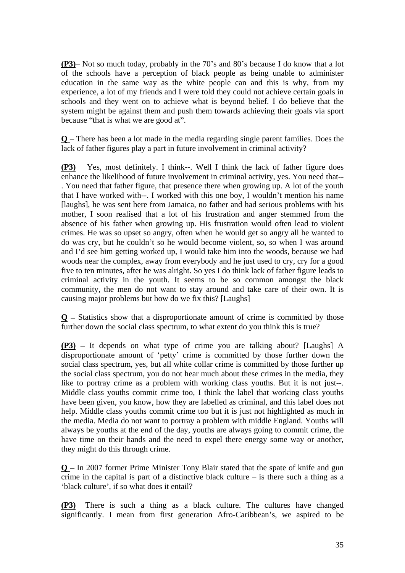**(P3)** Not so much today, probably in the 70's and 80's because I do know that a lot of the schools have a perception of black people as being unable to administer education in the same way as the white people can and this is why, from my experience, a lot of my friends and I were told they could not achieve certain goals in schools and they went on to achieve what is beyond belief. I do believe that the system might be against them and push them towards achieving their goals via sport because "that is what we are good at".

**Q** There has been a lot made in the media regarding single parent families. Does the lack of father figures play a part in future involvement in criminal activity?

**(P3)** – Yes, most definitely. I think--. Well I think the lack of father figure does enhance the likelihood of future involvement in criminal activity, yes. You need that-- . You need that father figure, that presence there when growing up. A lot of the youth that I have worked with--. I worked with this one boy, I wouldn't mention his name [laughs], he was sent here from Jamaica, no father and had serious problems with his mother, I soon realised that a lot of his frustration and anger stemmed from the absence of his father when growing up. His frustration would often lead to violent crimes. He was so upset so angry, often when he would get so angry all he wanted to do was cry, but he couldn't so he would become violent, so, so when I was around and I'd see him getting worked up, I would take him into the woods, because we had woods near the complex, away from everybody and he just used to cry, cry for a good five to ten minutes, after he was alright. So yes I do think lack of father figure leads to criminal activity in the youth. It seems to be so common amongst the black community, the men do not want to stay around and take care of their own. It is causing major problems but how do we fix this? [Laughs]

 $Q$  – Statistics show that a disproportionate amount of crime is committed by those further down the social class spectrum, to what extent do you think this is true?

**(P3)** – It depends on what type of crime you are talking about? [Laughs] A disproportionate amount of 'petty' crime is committed by those further down the social class spectrum, yes, but all white collar crime is committed by those further up the social class spectrum, you do not hear much about these crimes in the media, they like to portray crime as a problem with working class youths. But it is not just--. Middle class youths commit crime too, I think the label that working class youths have been given, you know, how they are labelled as criminal, and this label does not help. Middle class youths commit crime too but it is just not highlighted as much in the media. Media do not want to portray a problem with middle England. Youths will always be youths at the end of the day, youths are always going to commit crime, the have time on their hands and the need to expel there energy some way or another, they might do this through crime.

 $Q$  – In 2007 former Prime Minister Tony Blair stated that the spate of knife and gun crime in the capital is part of a distinctive black culture  $-$  is there such a thing as a 'black culture', if so what does it entail?

**(P3)** There is such a thing as a black culture. The cultures have changed significantly. I mean from first generation Afro-Caribbean's, we aspired to be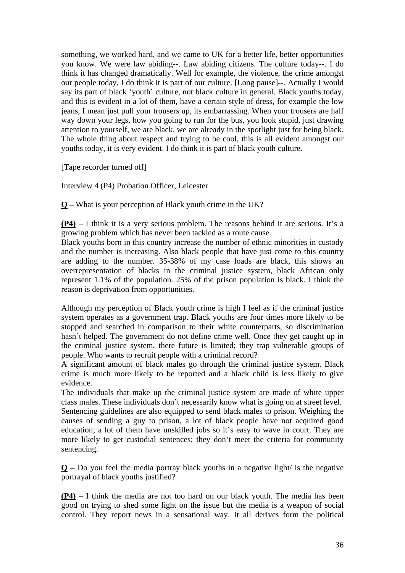something, we worked hard, and we came to UK for a better life, better opportunities you know. We were law abiding--. Law abiding citizens. The culture today--. I do think it has changed dramatically. Well for example, the violence, the crime amongst our people today, I do think it is part of our culture. [Long pause]--. Actually I would say its part of black 'youth' culture, not black culture in general. Black youths today, and this is evident in a lot of them, have a certain style of dress, for example the low jeans, I mean just pull your trousers up, its embarrassing. When your trousers are half way down your legs, how you going to run for the bus, you look stupid, just drawing attention to yourself, we are black, we are already in the spotlight just for being black. The whole thing about respect and trying to be cool, this is all evident amongst our youths today, it is very evident. I do think it is part of black youth culture.

[Tape recorder turned off]

Interview 4 (P4) Probation Officer, Leicester

 $Q$  – What is your perception of Black youth crime in the UK?

 $(P4)$  – I think it is a very serious problem. The reasons behind it are serious. It's a growing problem which has never been tackled as a route cause.

Black youths born in this country increase the number of ethnic minorities in custody and the number is increasing. Also black people that have just come to this country are adding to the number. 35-38% of my case loads are black, this shows an overrepresentation of blacks in the criminal justice system, black African only represent 1.1% of the population. 25% of the prison population is black. I think the reason is deprivation from opportunities.

Although my perception of Black youth crime is high I feel as if the criminal justice system operates as a government trap. Black youths are four times more likely to be stopped and searched in comparison to their white counterparts, so discrimination hasn't helped. The government do not define crime well. Once they get caught up in the criminal justice system, there future is limited; they trap vulnerable groups of people. Who wants to recruit people with a criminal record?

A significant amount of black males go through the criminal justice system. Black crime is much more likely to be reported and a black child is less likely to give evidence.

The individuals that make up the criminal justice system are made of white upper class males. These individuals don't necessarily know what is going on at street level. Sentencing guidelines are also equipped to send black males to prison. Weighing the causes of sending a guy to prison, a lot of black people have not acquired good education; a lot of them have unskilled jobs so it's easy to wave in court. They are more likely to get custodial sentences; they don't meet the criteria for community sentencing.

 $Q$  – Do you feel the media portray black youths in a negative light/ is the negative portrayal of black youths justified?

 $(P4)$  – I think the media are not too hard on our black youth. The media has been good on trying to shed some light on the issue but the media is a weapon of social control. They report news in a sensational way. It all derives form the political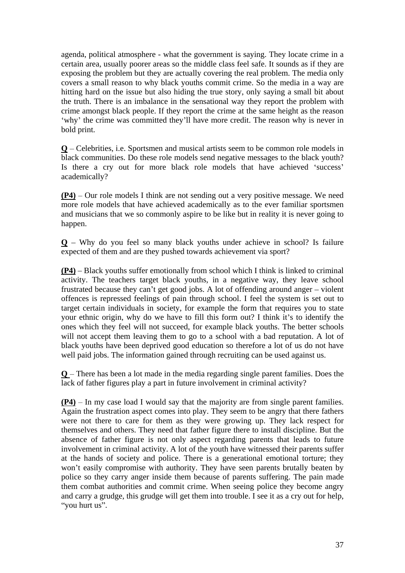agenda, political atmosphere - what the government is saying. They locate crime in a certain area, usually poorer areas so the middle class feel safe. It sounds as ifthey are exposing the problem but they are actually covering the real problem. The media only covers a small reason to why black youths commit crime. So the media in a way are hitting hard on the issue but also hiding the true story, only saying a small bit about the truth. There is an imbalance in the sensational way they report the problem with crime amongst black people. If they report the crime at the same height as the reason 'why' the crime was committed they'll have more credit. The reason why is never in bold print.

**Q** Celebrities, i.e. Sportsmen and musical artists seem to be common role models in black communities. Do these role models send negative messages to the black youth? Is there a cry out for more black role models that have achieved 'success' academically?

 $(P4)$  – Our role models I think are not sending out a very positive message. We need more role models that have achieved academically as to the ever familiar sportsmen and musicians that we so commonly aspire to be like but in reality it is never going to happen. **Example 2018 happen**.

 $Q$  – Why do you feel so many black youths under achieve in school? Is failure expected of them and are they pushed towards achievement via sport?

**(P4)** – Black youths suffer emotionally from school which I think is linked to criminal activity. The teachers target black youths, in a negative way, they leave school frustrated because they can't get good jobs. A lot of offending around anger  $-$  violent offences is repressed feelings of pain through school. I feel the system is set out to target certain individuals in society, for example the form that requires you to state your ethnic origin, why do we have to fill this form out? I think it's to identify the ones which they feel will not succeed, for example black youths. The better schools will not accept them leaving them to go to a school with a bad reputation. A lot of black youths have been deprived good education so therefore a lot of us do not have well paid jobs. The information gained through recruiting can be used against us.

**Q** There has been a lot made in the media regarding single parent families. Does the lack of father figures play a part in future involvement in criminal activity?

 $(P4)$  – In my case load I would say that the majority are from single parent families. Again the frustration aspect comes into play. They seem to be angry that there fathers were not there to care for them as they were growing up. They lack respect for themselves and others. They need that father figure there to install discipline. But the absence of father figure is not only aspect regarding parents that leads to future involvement in criminal activity. A lot of the youth have witnessed their parents suffer at the hands of society and police. There is a generational emotional torture; they won't easily compromise with authority. They have seen parents brutally beaten by police so they carry anger inside them because of parents suffering. The pain made them combat authorities and commit crime. When seeing police they become angry and carry a grudge, this grudge will get them into trouble. I see it as a cry out for help, you hurt us".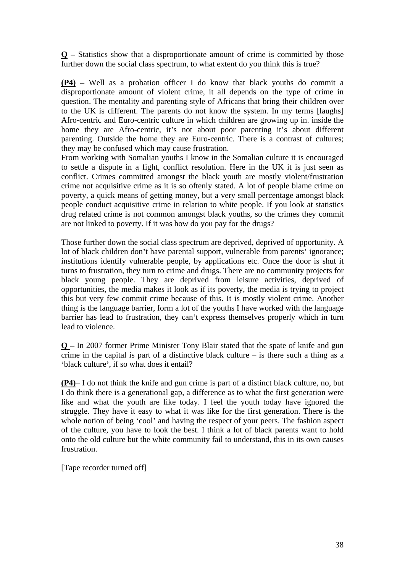$Q$  – Statistics show that a disproportionate amount of crime is committed by those further down the social class spectrum, to what extent do you think this is true?

**(P4)** – Well as a probation officer I do know that black youths do commit a disproportionate amount of violent crime, it all depends on the type of crime in question. The mentality and parenting style of Africans that bring their children over to the UK is different. The parents do not know the system. In my terms [laughs] Afro-centric and Euro-centric culture in which children are growing up in. inside the home they are Afro-centric, it's not about poor parenting it's about different parenting. Outside the home they are Euro-centric. There is a contrast of cultures; they may be confused which may cause frustration.

From working with Somalian youths I know in the Somalian culture it is encouraged to settle a dispute in a fight, conflict resolution. Here in the UK it is just seen as conflict. Crimes committed amongst the black youth are mostly violent/frustration crime not acquisitive crime as it is so oftenly stated. A lot of people blame crime on poverty, a quick means of getting money, but a very small percentage amongst black people conduct acquisitive crime in relation to white people. If you look at statistics drug related crime is not common amongst black youths, so the crimes they commit are not linked to poverty. If it was how do you pay for the drugs?

Those further down the social class spectrum are deprived, deprived of opportunity. A lot of black children don't have parental support, vulnerable from parents' ignorance; institutions identify vulnerable people, by applications etc. Once the door is shut it turns to frustration, they turn to crime and drugs. There are no community projects for black young people. They are deprived from leisure activities, deprived of opportunities, the media makes it look as if its poverty, the media is trying to project this but very few commit crime because of this. It is mostly violent crime. Another thing is the language barrier, form a lot of the youths I have worked with the language barrier has lead to frustration, they can't express themselves properly which in turn lead to violence.

**Q** – In 2007 former Prime Minister Tony Blair stated that the spate of knife and gun crime in the capital is part of a distinctive black culture  $-$  is there such a thing as a 'black culture', if so what does it entail?

**(P4)** I do not think the knife and gun crime is part of a distinct black culture, no, but I do think there is a generational gap, a difference as to what the first generation were like and what the youth are like today. I feel the youth today have ignored the struggle. They have it easy to what it was like for the first generation. There is the whole notion of being 'cool' and having the respect of your peers. The fashion aspect of the culture, you have to look the best. I think a lot of black parents want to hold onto the old culture but the white community fail to understand, this in its own causes frustration.

[Tape recorder turned off]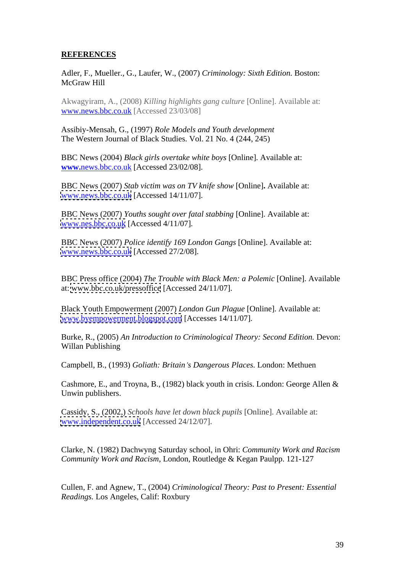## **REFERENCES**

Adler, F., Mueller., G., Laufer, W., (2007) *Criminology: Sixth Edition.* Boston: McGraw Hill

Akwagyiram, A., (2008) *Killing highlights gang culture* [Online]. Available at: www.news.bbc.co.uk [Accessed 23/03/08]

Assibiy-Mensah, G., (1997) *Role Models and Youth development* The Western Journal of Black Studies. Vol. 21 No. 4 (244, 245)

BBC News (2004) *Black girls overtake white boys* [Online]. Available at: **www.**news.bbc.co.uk [Accessed 23/02/08].

BBC News (2007) *Stab victim was on TV knife show* [Online]**.** Available at: [www.news.bbc.co.uk](http://www.news.bbc.co.uk) [Accessed 14/11/07].

BBC News (2007) *Youths sought over fatal stabbing* [Online]. Available at: [www.nes.bbc.co.uk](http://www.nes.bbc.co.uk) [Accessed 4/11/07].

BBC News (2007) *Police identify 169 London Gangs* [Online]. Available at: [www.news.bbc.co.uk](http://www.news.bbc.co.uk) [Accessed 27/2/08].

BBC Press office (2004) *The Trouble with Black Men: a Polemic* [Online]. Available at: [www.bbc.co.uk/pressoffice](http://www.bbc.co.uk/pressoffice) [Accessed 24/11/07].

Black Youth Empowerment (2007) *London Gun Plague* [Online]. Available at: [www.byempowerment.blogspot.com](http://www.byempowerment.blogspot.com) [Accesses 14/11/07].

Burke, R., (2005) *An Introduction to Criminological Theory: Second Edition.* Devon: Willan Publishing

Campbell, B., (1993) *Goliath: Britain s Dangerous Places.* London: Methuen

Cashmore, E., and Troyna, B., (1982) black youth in crisis. London: George Allen & Unwin publishers.

Cassidy, S., (2002,) *Schools have let down black pupils* [Online]. Available at: [www.independent.co.uk](http://www.independent.co.uk) [Accessed 24/12/07].

Clarke, N. (1982) Dachwyng Saturday school, in Ohri: *Community Work and Racism Community Work and Racism*, London, Routledge & Kegan Paulpp. 121-127

Cullen, F. and Agnew, T., (2004) *Criminological Theory: Past to Present: Essential Readings.* Los Angeles, Calif: Roxbury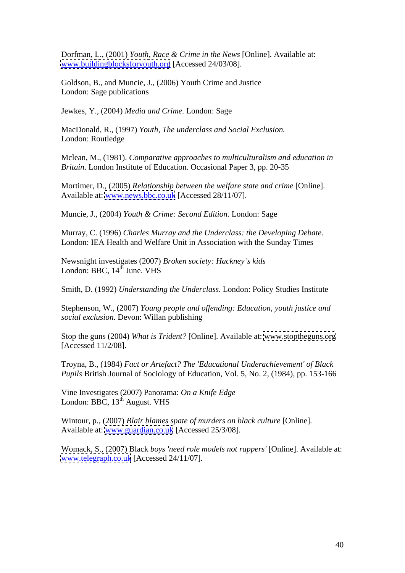Dorfman, L., (2001) *Youth, Race & Crime in the News* [Online]. Available at: [www.buildingblocksforyouth.org](http://www.buildingblocksforyouth.org) [Accessed 24/03/08].

Goldson, B., and Muncie, J., (2006) Youth Crime and Justice London: Sage publications

Jewkes, Y., (2004) *Media and Crime.* London: Sage

MacDonald, R., (1997) *Youth, The underclass and Social Exclusion.* London: Routledge

Mclean, M., (1981). *Comparative approaches to multiculturalism and education in Britain*. London Institute of Education. Occasional Paper 3, pp. 20-35

Mortimer, D., (2005) *Relationship between the welfare state and crime* [Online]. Available at: [www.news.bbc.co.uk](http://www.news.bbc.co.uk) [Accessed 28/11/07].

Muncie, J., (2004) *Youth & Crime: Second Edition.* London: Sage

Murray, C. (1996) *Charles Murray and the Underclass: the Developing Debate.* London: IEA Health and Welfare Unit in Association with the Sunday Times

Newsnight investigates (2007) *Broken society: Hackney s kids* London: BBC, 14<sup>th</sup> June, VHS  $\frac{d\bar{h}}{dt}$  Iune VIIS June. VHS

Smith, D. (1992) *Understanding the Underclass*. London: Policy Studies Institute

Stephenson, W., (2007) *Young people and of ending: Education, youth justice and social exclusion*. Devon: Willan publishing

Stop the guns (2004) *What is Trident?* [Online]. Available at: [www.stoptheguns.org](http://www.stoptheguns.org) [Accessed 11/2/08].

Troyna, B., (1984) *Fact or Artefact? The 'Educational Underachievement' of Black Pupils* British Journal of Sociology of Education, Vol. 5, No. 2, (1984), pp. 153-166

Vine Investigates (2007) Panorama: *On a Knife Edge* London: BBC, 13<sup>th</sup> August. VHS th August. VHS

Wintour, p., (2007) *Blair blames spate of murders on black culture* [Online]. Available at: [www.guardian.co.uk](http://www.guardian.co.uk) [Accessed 25/3/08].

Womack, S., (2007) Black *boys 'need role models not rappers'* [Online]. Available at: [www.telegraph.co.uk](http://www.telegraph.co.uk) [Accessed 24/11/07].